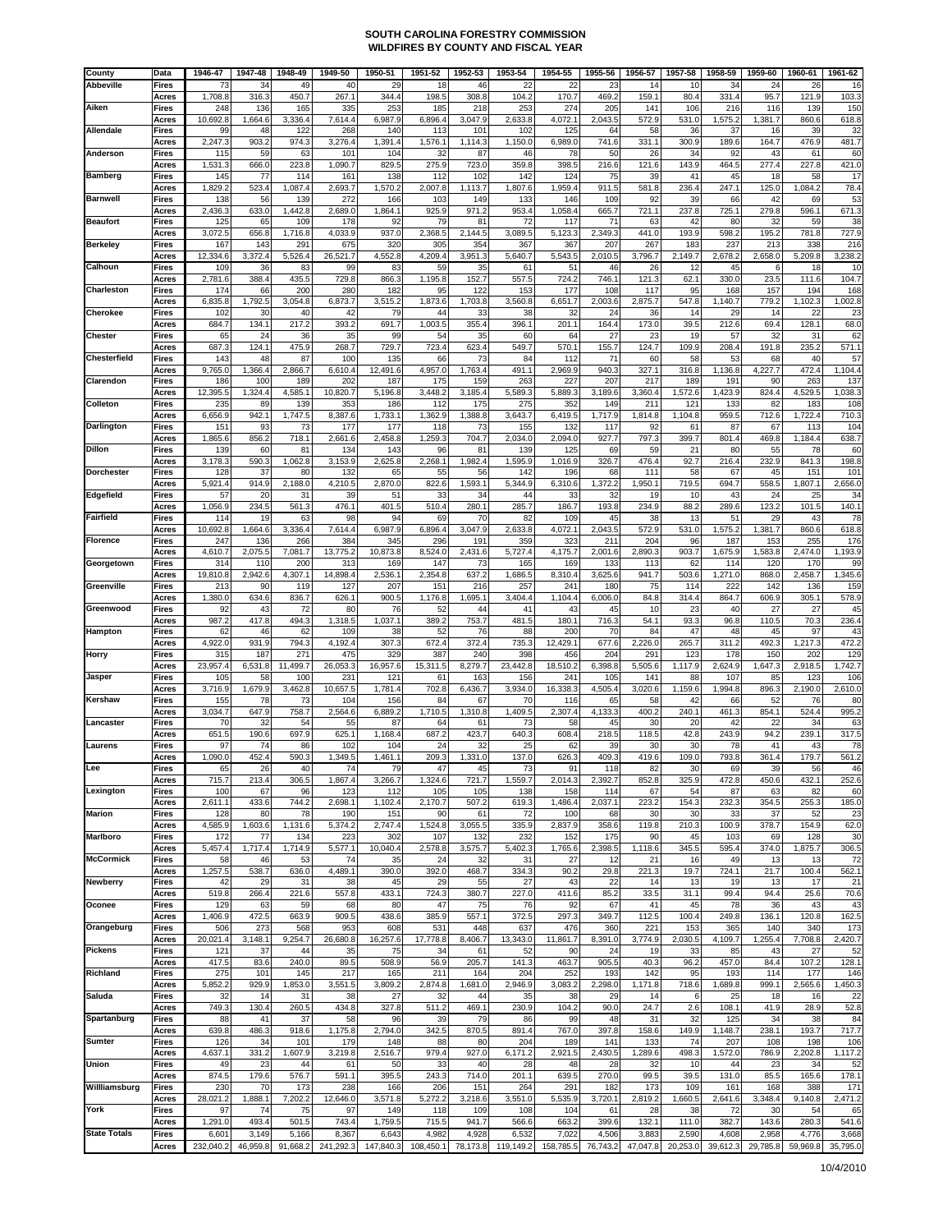| County              | Data                  | 1946-47         | 1947-48        | 1948-49         | 1949-50         | 1950-51         | 1951-52         | 1952-53        | 1953-54         | 1954-55         | 1955-56        | 1956-57        | 1957-58        | 1958-59        | 1959-60        | 1960-61        | 1961-62                    |
|---------------------|-----------------------|-----------------|----------------|-----------------|-----------------|-----------------|-----------------|----------------|-----------------|-----------------|----------------|----------------|----------------|----------------|----------------|----------------|----------------------------|
| <b>Abbeville</b>    | Fires                 | 73              | 34             | 49<br>450.7     | 40<br>267.1     | 29<br>344.4     | 18<br>198.5     | 46<br>308.8    | 22              | 22<br>170.7     | 23             | 14<br>159.1    | 10<br>80.4     | 34<br>331.4    | 24             | 26             | 16<br>103.3                |
| Aiken               | Acres<br>Fires        | 1,708.8<br>248  | 316.3<br>136   | 165             | 335             | 253             | 185             | 218            | 104.2<br>253    | 274             | 469.2<br>205   | 141            | 106            | 216            | 95.7<br>116    | 121.9<br>139   | 150                        |
|                     | Acres                 | 10,692.8        | 1,664.6        | 3,336.4         | 7,614.4         | 6,987.9         | 6,896.          | 3,047.9        | 2,633.8         | 4,072.1         | 2,043.5        | 572.9          | 531.0          | 1,575.2        | 1,381.7        | 860.6          | 618.8                      |
| Allendale           | Fires<br>Acres        | 99<br>2,247.3   | 48<br>903.2    | 122<br>974.3    | 268<br>3,276.4  | 140<br>1,391.4  | 113<br>1,576.   | 101<br>1,114.3 | 102<br>1,150.0  | 125<br>6,989.0  | 64<br>741.6    | 58<br>331.1    | 36<br>300.9    | 37<br>189.6    | 16<br>164.7    | 39<br>476.9    | 32<br>481.7                |
| Anderson            | Fires                 | 115             | 59             | 63              | 101             | 104             | 32              | 87             | 46              | 78              | 50             | 26             | 34             | 92             | 43             | 61             | 60                         |
|                     | Acres                 | 1,531.3         | 666.0          | 223.8           | 1,090.7         | 829.5           | 275.9           | 723.0          | 359.8           | 398.5           | 216.6          | 121.6          | 143.9          | 464.5          | 277.4          | 227.8          | 421.0                      |
| <b>Bamberg</b>      | Fires<br>Acres        | 145<br>1,829.2  | 77<br>523.4    | 114<br>1,087.4  | 161<br>2,693.7  | 138<br>1,570.2  | 112<br>2,007.8  | 102<br>1,113.7 | 142<br>1,807.6  | 124<br>1,959.4  | 75<br>911.5    | 39<br>581.8    | 41<br>236.4    | 45<br>247.1    | 18<br>125.0    | 58<br>1,084.2  | 17<br>78.4                 |
| <b>Barnwell</b>     | Fires                 | 138             | 56             | 139             | 272             | 166             | 103             | 149            | 133             | 146             | 109            | 92             | 39             | 66             | 42             | 69             | 53                         |
| <b>Beaufort</b>     | Acres<br>Fires        | 2,436.3<br>125  | 633.0<br>65    | 1,442.8<br>109  | 2,689.0<br>178  | 1,864.1<br>92   | 925.9<br>79     | 971.2<br>81    | 953.4<br>72     | 1,058.4<br>117  | 665.7<br>71    | 721.1<br>63    | 237.8<br>42    | 725.1<br>80    | 279.8<br>32    | 596.1<br>59    | 671.<br>3                  |
|                     | Acres                 | 3,072.5         | 656.8          | 1,716.8         | 4,033.9         | 937.0           | 2,368.5         | 2,144.5        | 3,089.5         | 5,123.3         | 2,349.3        | 441.0          | 193.9          | 598.2          | 195.2          | 781.8          | 727.9                      |
| <b>Berkelev</b>     | <b>Fires</b>          | 167             | 143            | 291             | 675             | 320             | 305             | 354            | 367             | 367             | 207            | 267            | 183            | 237            | 213            | 338            | 216                        |
| Calhoun             | Acres<br>Fires        | 12,334.6<br>109 | 3,372.4<br>36  | 5,526.4<br>83   | 26,521.7<br>99  | 4,552.8<br>83   | 4,209.4<br>59   | 3,951.3<br>35  | 5,640.7<br>61   | 5,543.5<br>51   | 2,010.5<br>46  | 3,796.7<br>26  | 2,149.7<br>12  | 2,678.2<br>45  | 2,658.0<br>6   | 5,209.8<br>18  | 3,238.<br>10               |
|                     | Acres                 | 2,781.6         | 388.4          | 435.5           | 729.8           | 866.3           | 1,195.8         | 152.7          | 557.5           | 724.2           | 746.1          | 121.3          | 62.1           | 330.0          | 23.5           | 111.6          | 104.                       |
| Charleston          | Fires<br>Acres        | 174<br>6,835.8  | 66<br>1,792.5  | 200<br>3,054.8  | 280<br>6,873.7  | 182<br>3,515.2  | 95<br>1,873.6   | 122<br>1,703.8 | 153<br>3,560.8  | 177<br>6,651.7  | 108<br>2,003.6 | 117<br>2,875.7 | 95<br>547.8    | 168<br>1,140.7 | 157<br>779.2   | 194<br>1,102.3 | 168<br>1,002.8             |
| Cherokee            | Fires                 | 102             | 30             | 40              | 42              | 79              | 44              | 33             | 38              | 32              | 24             | 36             | 14             | 29             | 14             | 22             | 2.                         |
|                     | Acres                 | 684.7           | 134.1          | 217.2           | 393.2           | 691.7           | 1,003.5         | 355.4          | 396.1           | 201.1           | 164.4          | 173.0          | 39.5           | 212.6          | 69.4           | 128.1          | 68.0                       |
| <b>Chester</b>      | Fires<br>Acres        | 65<br>687.3     | 24<br>124.1    | 36<br>475.9     | 35<br>268.7     | 99<br>729.7     | 54<br>723.4     | 35<br>623.4    | 60<br>549.7     | 64<br>570.1     | 27<br>155.7    | 23<br>124.7    | 19<br>109.9    | 57<br>208.4    | 32<br>191.8    | 31<br>235.2    | 62<br>571.7                |
| Chesterfield        | Fires                 | 143             | 48             | 87              | 100             | 135             | 66              | 73             | 84              | 112             | 71             | 60             | 58             | 53             | 68             | 40             | 57                         |
| Clarendon           | Acres<br>Fires        | 9,765.0<br>186  | 1,366.4<br>100 | 2,866.7<br>189  | 6,610.4<br>202  | 12,491.6<br>187 | 4,957.0<br>175  | 1,763.4<br>159 | 491.1<br>263    | 2,969.9<br>227  | 940.3<br>207   | 327.1<br>217   | 316.8<br>189   | 1,136.8<br>19' | 4,227.7<br>90  | 472.4<br>263   | 1,104.4<br>13 <sub>1</sub> |
|                     | Acres                 | 12,395.5        | 1,324.4        | 4,585.1         | 10,820.7        | 5,196.8         | 3,448.2         | 3,185.4        | 5,589.3         | 5,889.3         | 3,189.6        | 3,360.4        | 1,572.6        | 1,423.9        | 824.4          | 4,529.5        | 1,038.                     |
| Colleton            | Fires<br>Acres        | 235<br>6,656.9  | 89<br>942.1    | 139<br>1,747.5  | 353<br>8,387.6  | 186<br>1,733.1  | 112<br>1,362.9  | 175<br>1,388.8 | 275<br>3,643.7  | 352<br>6,419.5  | 149<br>1,717.9 | 211<br>1,814.8 | 121<br>1,104.8 | 133<br>959.5   | 82<br>712.6    | 183<br>1,722.4 | 108<br>710.                |
| <b>Darlington</b>   | Fires                 | 151             | 93             | 73              | 177             | 177             | 118             | 73             | 155             | 132             | 117            | 92             | 61             | 87             | 67             | 113            | 104                        |
| Dillon              | Acres<br>Fires        | 1,865.6<br>139  | 856.2<br>60    | 718.1<br>81     | 2,661.6<br>134  | 2,458.8<br>143  | 1,259.<br>96    | 704.7<br>81    | 2,034.0<br>139  | 2,094.0<br>125  | 927.7<br>69    | 797.3<br>59    | 399.7<br>21    | 801.4<br>80    | 469.8<br>55    | 1,184.4<br>78  | 638.<br>60                 |
|                     | Acres                 | 3,178.3         | 590.3          | 1,062.8         | 3,153.9         | 2,625.8         | 2,268.1         | 1,982.4        | 1,595.9         | 1,016.9         | 326.7          | 476.4          | 92.7           | 216.4          | 232.9          | 841.3          | 198.8                      |
| <b>Dorchester</b>   | Fires                 | 128             | 37             | 80              | 132             | 65              | 55              | 56             | 142             | 196             | 68             | 111            | 58             | 67             | 45             | 151            | 10 <sup>1</sup>            |
| Edgefield           | Acres<br>Fires        | 5,921.4<br>57   | 914.9<br>20    | 2,188.0<br>31   | 4,210.5<br>39   | 2,870.0<br>51   | 822.6<br>33     | 1,593.1<br>34  | 5,344.9<br>44   | 6,310.6<br>33   | 1,372.2<br>32  | 1,950.1<br>19  | 719.5<br>10    | 694.7<br>43    | 558.5<br>24    | 1,807.1<br>25  | 2,656.<br>3.               |
|                     | Acres                 | 1,056.9         | 234.5          | 561.3           | 476.1           | 401.5           | 510.4           | 280.           | 285.7           | 186.7           | 193.8          | 234.9          | 88.2           | 289.6          | 123.2          | 101.5          | 140.                       |
| Fairfield           | Fires<br>Acres        | 114<br>10,692.8 | 19<br>1,664.6  | 63<br>3,336.4   | 98<br>7,614.4   | 94<br>6,987.9   | 69<br>6,896.4   | 70<br>3,047.9  | 82<br>2,633.8   | 109<br>4,072.1  | 45<br>2,043.5  | 38<br>572.9    | 13<br>531.0    | 51<br>1,575.2  | 29<br>1,381.7  | 43<br>860.6    | 78<br>618.8                |
| <b>Florence</b>     | Fires                 | 247             | 136            | 266             | 384             | 345             | 296             | 191            | 359             | 323             | 211            | 204            | 96             | 187            | 153            | 255            | 176                        |
| Georgetown          | Acres<br>Fires        | 4,610.7<br>314  | 2,075.5<br>110 | 7,081.7<br>200  | 13,775.2<br>313 | 10,873.8<br>169 | 8,524.0<br>147  | 2,431.6<br>73  | 5,727.4<br>165  | 4,175.7<br>169  | 2,001.6<br>133 | 2,890.3<br>113 | 903.7<br>62    | 1,675.9<br>114 | 1,583.8<br>120 | 2,474.0<br>170 | 1,193.9<br>99              |
|                     | Acres                 | 19,810.8        | 2,942.6        | 4,307.1         | 14,898.4        | 2,536.1         | 2,354.8         | 637.2          | 1,686.5         | 8,310.4         | 3,625.6        | 941.7          | 503.6          | 1,271.0        | 868.0          | 2,458.7        | 1,345.6                    |
| Greenville          | Fires<br>Acres        | 213<br>1,380.0  | 90<br>634.6    | 119<br>836.7    | 127<br>626.1    | 207<br>900.5    | 151<br>1,176.8  | 216<br>1,695.  | 257<br>3,404.4  | 241<br>1,104.4  | 180<br>6,006.0 | 75<br>84.8     | 114<br>314.4   | 222<br>864.7   | 142<br>606.9   | 136<br>305.1   | 159<br>578.9               |
| Greenwood           | Fires                 | 92              | 43             | 72              | 80              | 76              | 52              | 44             | 41              | 43              | 45             | 10             | 23             | 40             | 27             | 27             | 45                         |
| Hampton             | Acres<br>Fires        | 987.2<br>62     | 417.8<br>46    | 494.3<br>62     | 1,318.5<br>109  | 1,037.1<br>38   | 389.2<br>52     | 753.7<br>76    | 481.5<br>88     | 180.1<br>200    | 716.3<br>70    | 54.1<br>84     | 93.3<br>47     | 96.8<br>48     | 110.5<br>45    | 70.3<br>97     | 236.4<br>43                |
|                     | Acres                 | 4,922.0         | 931.9          | 794.3           | 4,192.4         | 307.3           | 672.4           | 372.4          | 735.3           | 12,429.1        | 677.6          | 2,226.0        | 265.7          | 311.2          | 492.3          | 1,217.3        | 472.2                      |
| Horry               | Fires<br>Acres        | 315<br>23,957.4 | 187<br>6,531.8 | 271<br>11,499.7 | 475<br>26,053.3 | 329<br>16,957.6 | 387<br>15,311.5 | 240<br>8,279.7 | 398<br>23,442.8 | 456<br>18,510.2 | 204<br>6,398.8 | 291<br>5,505.6 | 123<br>1,117.9 | 178<br>2,624.9 | 150<br>1,647.3 | 202<br>2,918.5 | 129<br>1,742.7             |
| Jasper              | Fires                 | 105             | 58             | 100             | 231             | 121             | 61              | 163            | 156             | 241             | 105            | 141            | 88             | 107            | 85             | 123            | 106                        |
| Kershaw             | Acres<br><b>Fires</b> | 3,716.9<br>155  | 1,679.9<br>78  | 3,462.8<br>73   | 10,657.5<br>104 | 1,781.4<br>156  | 702.8<br>84     | 6,436.7<br>67  | 3,934.0<br>70   | 16,338.3<br>116 | 4,505.4<br>65  | 3,020.6<br>58  | 1,159.6<br>42  | 1,994.8<br>66  | 896.3<br>52    | 2,190.0<br>76  | 2,610.<br>80               |
|                     | Acres                 | 3,034.7         | 647.9          | 758.7           | 2,564.6         | 6,889.2         | 1,710.5         | 1,310.8        | 1,409.5         | 2,307.4         | 4,133.3        | 400.2          | 240.1          | 461.3          | 854.1          | 524.4          | 995.2                      |
| Lancaster           | Fires<br>Acres        | 70<br>651.5     | 32<br>190.6    | 54<br>697.9     | 55<br>625.1     | 87<br>1,168.4   | 64<br>687.2     | 61<br>423.7    | 73<br>640.3     | 58<br>608.4     | 45<br>218.5    | 30<br>118.5    | 20<br>42.8     | 42<br>243.9    | 22<br>94.2     | 34<br>239.1    | 63<br>317.5                |
| .aurens             | Fires                 | 97              | 74             | 86              | 102             | 104             | 24              | 32             | 25              | 62              | 39             | 30             | 30             | 78             | 41             | 43             | 78                         |
|                     | Acres                 | 1,090.0         | 452.4          | 590.3           | 1,349.5         | 1,461.1         | 209.3           | 1,331.0        | 137.0           | 626.3           | 409.3          | 419.6          | 109.0          | 793.8          | 361.4          | 179.7          | 561.2                      |
| Lee                 | Fires<br>Acres        | 65<br>715.7     | 26<br>213.4    | 40<br>306.5     | 74<br>1,867.4   | 79<br>3,266.7   | 47<br>1,324.6   | 45<br>721.7    | 73<br>1,559.7   | 91<br>2,014.3   | 118<br>2,392.7 | 82<br>852.8    | 30<br>325.9    | 69<br>472.8    | 39<br>450.6    | 56<br>432.1    | 46<br>252.6                |
| Lexington           | Fires                 | 100             | 67             | 96              | 123             | 112             | 105             | 105            | 138             | 158             | 114            | 67             | 54             | 87             | 63             | 82             | 60                         |
| <b>Marion</b>       | Acres<br>Fires        | 2,611.1<br>128  | 433.6<br>80    | 744.2<br>78     | 2,698.1<br>190  | 1,102.4<br>151  | 2,170.7<br>90   | 507.2<br>61    | 619.3<br>72     | 1,486.4<br>100  | 2,037.1<br>68  | 223.2<br>30    | 154.3<br>30    | 232.3<br>33    | 354.5<br>37    | 255.3<br>52    | 185.0<br>23                |
|                     | Acres                 | 4,585.9         | 1,603.6        | 1,131.6         | 5,374.2         | 2,747.4         | 1,524.8         | 3,055.5        | 335.9           | 2,837.9         | 358.6          | 119.8          | 210.3          | 100.9          | 378.7          | 154.9          | 62.0                       |
| Marlboro            | Fires<br>Acres        | 172<br>5,457.4  | 77<br>1,717.4  | 134<br>1,714.9  | 223<br>5,577.1  | 302<br>10,040.4 | 107<br>2,578.8  | 132<br>3,575.7 | 232<br>5,402.3  | 152<br>1,765.6  | 175<br>2,398.5 | 90<br>1,118.6  | 45<br>345.5    | 103<br>595.4   | 69<br>374.0    | 128<br>1,875.7 | 30<br>306.5                |
| <b>McCormick</b>    | Fires<br>Acres        | 58<br>1,257.5   | 46<br>538.7    | 53<br>636.0     | 74<br>4,489.1   | 35<br>390.0     | 24<br>392.0     | 32<br>468.7    | 31<br>334.3     | 27<br>90.2      | 12<br>29.8     | 21<br>221.3    | 16<br>19.7     | 49<br>724.1    | 13<br>21.7     | 13<br>100.4    | 72<br>562.1                |
| <b>Newberry</b>     | Fires                 | 42              | 29             | 31              | 38              | 45              | 29              | 55             | 27              | 43              | 22             | 14             | 13             | 19             | 13             | 17             | 21                         |
|                     | Acres                 | 519.8           | 266.4          | 221.6           | 557.8           | 433.1           | 724.3           | 380.7          | 227.0           | 411.6           | 85.2           | 33.5           | 31.1           | 99.4           | 94.4           | 25.6           | 70.6                       |
| Oconee              | Fires<br>Acres        | 129<br>1,406.9  | 63<br>472.5    | 59<br>663.9     | 68<br>909.5     | 80<br>438.6     | 47<br>385.9     | 75<br>557.1    | 76<br>372.5     | 92<br>297.3     | 67<br>349.7    | 41<br>112.5    | 45<br>100.4    | 78<br>249.8    | 36<br>136.1    | 43<br>120.8    | 43<br>162.5                |
| Orangeburg          | Fires                 | 506             | 273            | 568             | 953             | 608             | 531             | 448            | 637             | 476             | 360            | 221            | 153            | 365            | 140            | 340            | 173                        |
| Pickens             | Acres<br>Fires        | 20,021.4<br>121 | 3,148.1<br>37  | 9,254.7<br>44   | 26,680.8<br>35  | 16,257.6<br>75  | 17,778.8<br>34  | 8,406.7<br>61  | 13,343.0<br>52  | 11,861.7<br>90  | 8,391.0<br>24  | 3,774.9<br>19  | 2,030.5<br>33  | 4,109.7<br>85  | 1,255.4<br>43  | 7,708.8<br>27  | 2,420.7<br>52              |
|                     | Acres                 | 417.5           | 83.6           | 240.0           | 89.5            | 508.9           | 56.9            | 205.7          | 141.3           | 463.7           | 905.5          | 40.3           | 96.2           | 457.0          | 84.4           | 107.2          | 128.1                      |
| Richland            | Fires<br>Acres        | 275<br>5,852.2  | 101<br>929.9   | 145<br>1,853.0  | 217<br>3,551.5  | 165<br>3,809.2  | 211<br>2,874.8  | 164<br>1,681.0 | 204<br>2,946.9  | 252<br>3,083.2  | 193<br>2,298.0 | 142<br>1,171.8 | 95<br>718.6    | 193<br>1,689.8 | 114<br>999.1   | 177<br>2,565.6 | 146<br>1,450.3             |
| Saluda              | Fires                 | 32              | 14             | 31              | 38              | 27              | 32              | 44             | 35              | 38              | 29             | 14             | 6              | 25             | 18             | 16             | 22                         |
| Spartanburg         | Acres<br>Fires        | 749.3<br>88     | 130.4<br>41    | 260.5<br>37     | 434.8<br>58     | 327.8<br>96     | 511.2<br>39     | 469.1<br>79    | 230.9<br>86     | 104.2<br>99     | 90.0<br>48     | 24.7<br>31     | 2.6<br>32      | 108.1<br>125   | 41.9<br>34     | 28.9<br>38     | 52.8<br>84                 |
|                     | Acres                 | 639.8           | 486.3          | 918.6           | 1,175.8         | 2,794.0         | 342.5           | 870.5          | 891.4           | 767.0           | 397.8          | 158.6          | 149.9          | 1,148.7        | 238.1          | 193.7          | 717.7                      |
| <b>Sumter</b>       | Fires<br>Acres        | 126<br>4,637.1  | 34<br>331.2    | 101<br>1,607.9  | 179<br>3,219.8  | 148<br>2,516.7  | 88<br>979.4     | 80<br>927.0    | 204<br>6,171.2  | 189<br>2,921.5  | 141<br>2,430.5 | 133<br>1,289.6 | 74<br>498.3    | 207<br>1,572.0 | 108<br>786.9   | 198<br>2,202.8 | 106<br>1,117.2             |
| Union               | Fires                 | 49              | 23             | 44              | 61              | 50              | 33              | 40             | 28              | 48              | 28             | 32             | 10             | 44             | 23             | 34             | 52                         |
| Willliamsburg       | Acres<br>Fires        | 874.5<br>230    | 179.6<br>70    | 576.7<br>173    | 591.1<br>238    | 395.5<br>166    | 243.3<br>206    | 714.0<br>151   | 201.1<br>264    | 639.5<br>291    | 270.0<br>182   | 99.5<br>173    | 39.5<br>109    | 131.0<br>161   | 85.5<br>168    | 165.6<br>388   | 178.1<br>171               |
|                     | Acres                 | 28,021.2        | 1,888.1        | 7,202.2         | 12,646.0        | 3,571.8         | 5,272.2         | 3,218.6        | 3,551.0         | 5,535.9         | 3,720.1        | 2,819.2        | 1,660.5        | 2,641.6        | 3,348.4        | 9,140.8        | 2,471.2                    |
| York                | Fires<br>Acres        | 97<br>1,291.0   | 74<br>493.4    | 75<br>501.5     | 97<br>743.4     | 149<br>1,759.5  | 118<br>715.5    | 109<br>941.7   | 108<br>566.6    | 104<br>663.2    | 61<br>399.6    | 28<br>132.1    | 38<br>111.0    | 72<br>382.7    | 30<br>143.6    | 54<br>280.3    | 65<br>541.6                |
| <b>State Totals</b> | Fires                 | 6,601           | 3,149          | 5,166           | 8,367           | 6,643           | 4,982           | 4,928          | 6,532           | 7,022           | 4,506          | 3,883          | 2,590          | 4,608          | 2,958          | 4,776          | 3,668                      |
|                     | Acres                 | 232,040.2       | 46,959.8       | 91,668.2        | 241,292.3       | 147,840.3       | 108,450.1       | 78,173.8       | 119,149.2       | 158,785.5       | 76,743.2       | 47,047.8       | 20,253.0       | 39,612.3       | 29,785.8       | 59,969.8       | 35,795.0                   |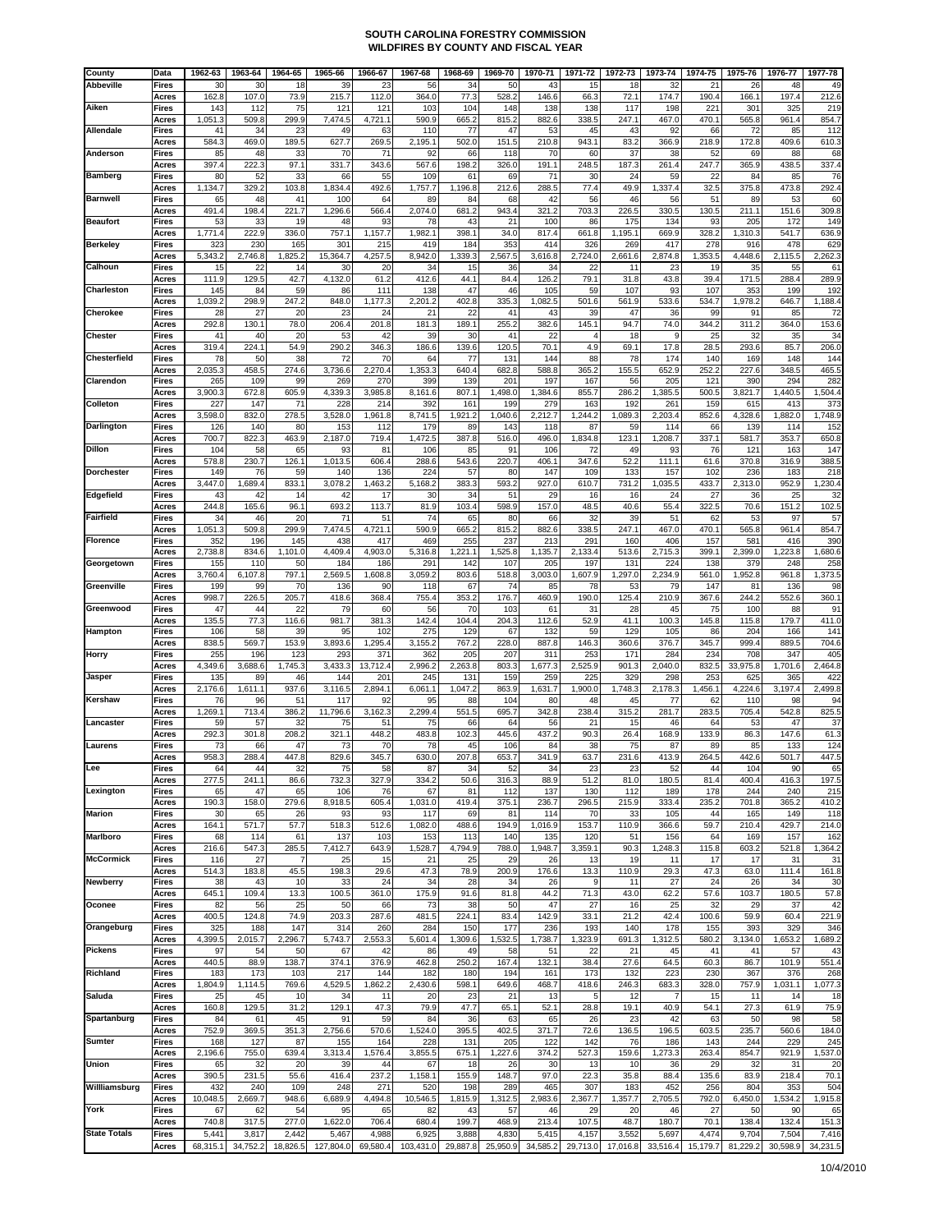| County              | Data                  | 1962-63           | 1963-64           | 1964-65           | 1965-66            | 1966-67           | 1967-68            | 1968-69           | 1969-70           | 1970-71           | 1971-72           | 1972-73           | 1973-74                | 1974-75           | 1975-76           | 1976-77           | 1977-78           |
|---------------------|-----------------------|-------------------|-------------------|-------------------|--------------------|-------------------|--------------------|-------------------|-------------------|-------------------|-------------------|-------------------|------------------------|-------------------|-------------------|-------------------|-------------------|
| <b>Abbeville</b>    | Fires                 | 30                | 30                | 18                | 39                 | 23                | 56                 | 34                | 50                | 43                | 15                | 18                | 32                     | 21                | 26                | 48                | 49                |
| Aiken               | Acres<br>Fires        | 162.8<br>143      | 107.0<br>112      | 73.9<br>75        | 215.7<br>121       | 112.0<br>121      | 364.0<br>103       | 77.3<br>104       | 528.2<br>148      | 146.6<br>138      | 66.3<br>138       | 72.1<br>117       | 174.7<br>198           | 190.4<br>221      | 166.1<br>301      | 197.4<br>325      | 212.6<br>219      |
|                     | Acres                 | 1,051.3           | 509.8             | 299.9             | 7,474.5            | 4,721.1           | 590.9              | 665.2             | 815.2             | 882.6             | 338.5             | 247.1             | 467.0                  | 470.1             | 565.8             | 961.4             | 854.              |
| Allendale           | Fires                 | 41                | 34                | 23                | 49                 | 63                | 110                | 77                | 47                | 53                | 45                | 43                | 92                     | 66                | 72                | 85                | 112               |
| Anderson            | Acres<br>Fires        | 584.3<br>85       | 469.0<br>48       | 189.5<br>33       | 627.7<br>70        | 269.5<br>71       | 2,195.1<br>92      | 502.0<br>66       | 151.5<br>118      | 210.8<br>70       | 943.1<br>60       | 83.2<br>37        | 366.9<br>38            | 218.9<br>52       | 172.8<br>69       | 409.6<br>88       | 610.3<br>68       |
|                     | Acres                 | 397.4             | 222.3             | 97.1              | 331.7              | 343.6             | 567.6              | 198.2             | 326.0             | 191.1             | 248.5             | 187.3             | 261.4                  | 247.7             | 365.9             | 438.5             | 337.4             |
| <b>Bamberg</b>      | Fires                 | 80                | 52                | 33                | 66                 | 55                | 109                | 61                | 69                | 71                | 3 <sub>C</sub>    | 24                | 59                     | 22                | 84                | 85                | 76                |
| <b>Barnwell</b>     | Acres<br>Fires        | 1,134.7<br>65     | 329.2<br>48       | 103.8<br>41       | 1,834.4<br>100     | 492.6<br>64       | 1,757.7<br>89      | 1,196.8<br>84     | 212.6<br>68       | 288.5<br>42       | 77.4<br>56        | 49.9<br>46        | 1,337.4<br>56          | 32.5<br>51        | 375.8<br>89       | 473.8<br>53       | 292.4<br>60       |
|                     | Acres                 | 491.4             | 198.4             | 221.7             | 1,296.6            | 566.4             | 2,074.0            | 681.2             | 943.4             | 321.2             | 703.3             | 226.5             | 330.5                  | 130.5             | 211.1             | 151.6             | 309.8             |
| <b>Beaufort</b>     | Fires                 | 53                | 33                | 19                | 48                 | 93                | 78                 | 43                | 21                | 100               | 86                | 175               | 134                    | 93                | 205               | 172               | 149               |
| <b>Berkeley</b>     | Acres<br>Fires        | 1,771.4<br>323    | 222.9<br>230      | 336.0<br>165      | 757.1<br>301       | 1,157.7<br>215    | 1,982.1<br>419     | 398.1<br>184      | 34.0<br>353       | 817.4<br>414      | 661.8<br>326      | 1,195.1<br>269    | 669.9<br>417           | 328.2<br>278      | 1,310.3<br>916    | 541.7<br>478      | 636.9<br>629      |
|                     | Acres                 | 5,343.2           | 2,746.8           | 1,825.2           | 15,364.7           | 4,257.5           | 8,942.0            | 1,339.3           | 2,567.5           | 3,616.8           | 2,724.0           | 2,661.6           | 2,874.8                | 1,353.5           | 4,448.6           | 2,115.5           | 2,262.            |
| Calhoun             | Fires                 | 15                | 22                | 14                | 30                 | 20                | 34                 | 15                | 36                | 34                | 22                | 11                | 23                     | 19                | 35                | 55                | 61                |
| Charleston          | Acres<br>Fires        | 111.9<br>145      | 129.5<br>84       | 42.7<br>59        | 4,132.0<br>86      | 61.2<br>111       | 412.6<br>138       | 44.1<br>47        | 84.4<br>46        | 126.2<br>105      | 79.1<br>59        | 31.8<br>107       | 43.8<br>93             | 39.4<br>107       | 171.5<br>353      | 288.4<br>199      | 289.9<br>192      |
|                     | Acres                 | 1,039.2           | 298.9             | 247.2             | 848.0              | 1,177.3           | 2,201.2            | 402.8             | 335.3             | 1,082.5           | 501.6             | 561.9             | 533.6                  | 534.7             | 1,978.2           | 646.7             | 1,188.4           |
| Cherokee            | Fires                 | 28                | 27                | 20                | 23                 | 24                | 21                 | 22                | 41                | 43                | 39                | 47                | 36                     | 99                | 91                | 85                | 72                |
| <b>Chester</b>      | Acres<br>Fires        | 292.8<br>41       | 130.1<br>40       | 78.0<br>20        | 206.4<br>53        | 201.8<br>42       | 181.3<br>39        | 189.1<br>30       | 255.2<br>41       | 382.6<br>22       | 145.1             | 94.7<br>18        | 74.0<br>9              | 344.2<br>25       | 311.2<br>32       | 364.0<br>35       | 153.6<br>34       |
|                     | Acres                 | 319.4             | 224.1             | 54.9              | 290.2              | 346.3             | 186.6              | 139.6             | 120.5             | 70.1              | 4.9               | 69.1              | 17.8                   | 28.5              | 293.6             | 85.7              | 206.0             |
| Chesterfield        | Fires                 | 78                | 50                | 38                | 72                 | 70                | 64                 | 77<br>640.4       | 131               | 144               | 88                | 78                | 174                    | 140               | 169               | 148<br>348.5      | 144               |
| Clarendon           | Acres<br>Fires        | 2,035.3<br>265    | 458.5<br>109      | 274.6<br>99       | 3,736.6<br>269     | 2,270.4<br>270    | 1,353.3<br>399     | 139               | 682.8<br>201      | 588.8<br>197      | 365.2<br>167      | 155.5<br>56       | 652.9<br>205           | 252.2<br>121      | 227.6<br>390      | 294               | 465.<br>282       |
|                     | Acres                 | 3,900.3           | 672.8             | 605.9             | 4,339.3            | 3,985.8           | 8,161.6            | 807.1             | 1,498.0           | 1,384.6           | 855.7             | 286.2             | 1,385.5                | 500.5             | 3,821.7           | 1,440.5           | 1,504.4           |
| Colleton            | Fires<br>Acres        | 227<br>3,598.0    | 147<br>832.0      | 71<br>278.5       | 228<br>3,528.0     | 214<br>1,961.8    | 392<br>8,741.5     | 161<br>1,921.2    | 199<br>1,040.6    | 279<br>2,212.7    | 163<br>1,244.2    | 192<br>1,089.3    | 261<br>2,203.4         | 159<br>852.6      | 615<br>4,328.6    | 413<br>1,882.0    | 373<br>1,748.9    |
| Darlington          | Fires                 | 126               | 140               | 80                | 153                | 112               | 179                | 89                | 143               | 118               | 87                | 59                | 114                    | 66                | 139               | 114               | 152               |
|                     | Acres                 | 700.7             | 822.3             | 463.9             | 2,187.0            | 719.4             | 1,472.5            | 387.8             | 516.0             | 496.0             | 1,834.8           | 123.1             | 1,208.7                | 337.1             | 581.7             | 353.7             | 650.              |
| <b>Dillon</b>       | Fires<br>Acres        | 104<br>578.8      | 58<br>230.7       | 65<br>126.1       | 93<br>1,013.5      | 81<br>606.4       | 106<br>288.6       | 85<br>543.6       | 91<br>220.7       | 106<br>406.1      | 72<br>347.6       | 49<br>52.2        | 93<br>111.1            | 76<br>61.6        | 121<br>370.8      | 163<br>316.9      | 147<br>388.5      |
| <b>Dorchester</b>   | Fires                 | 149               | 76                | 59                | 140                | 136               | 224                | 57                | 80                | 147               | 109               | 133               | 157                    | 102               | 236               | 183               | 218               |
|                     | Acres                 | 3,447.0           | 1,689.4           | 833.1             | 3,078.2            | 1,463.2           | 5,168.2            | 383.3             | 593.2             | 927.0             | 610.7             | 731.2             | 1,035.5                | 433.7             | 2,313.0           | 952.9             | 1,230.4           |
| Edgefield           | Fires<br>Acres        | 43<br>244.8       | 42<br>165.6       | 14<br>96.1        | 42<br>693.2        | 17<br>113.7       | 30<br>81.9         | 34<br>103.4       | 51<br>598.9       | 29<br>157.0       | 16<br>48.5        | 16<br>40.6        | 24<br>55.4             | 27<br>322.5       | 36<br>70.6        | 25<br>151.2       | 32<br>102.5       |
| Fairfield           | Fires                 | 34                | 46                | 20                | 71                 | 51                | 74                 | 65                | 80                | 66                | 32                | 39                | 51                     | 62                | 53                | 97                | 57                |
|                     | Acres                 | 1,051.3           | 509.8             | 299.9             | 7,474.5            | 4,721.1           | 590.9              | 665.2             | 815.2             | 882.6             | 338.5             | 247.1             | 467.0                  | 470.1             | 565.8             | 961.4             | 854.7             |
| <b>Florence</b>     | Fires<br>Acres        | 352<br>2,738.8    | 196<br>834.6      | 145<br>1,101.0    | 438<br>4,409.4     | 417<br>4,903.0    | 469<br>5,316.8     | 255<br>1,221.1    | 237<br>1,525.8    | 213<br>1,135.7    | 291<br>2,133.4    | 160<br>513.6      | 406<br>2,715.3         | 157<br>399.1      | 581<br>2,399.0    | 416<br>1,223.8    | 390<br>1,680.6    |
| Georgetown          | Fires                 | 155               | 110               | 50                | 184                | 186               | 29 <sup>°</sup>    | 142               | 107               | 205               | 197               | 131               | 224                    | 138               | 379               | 248               | 258               |
|                     | Acres                 | 3,760.4           | 6,107.8           | 797.1             | 2,569.5            | 1,608.8           | 3,059.2            | 803.6             | 518.8             | 3,003.0           | 1,607.9           | 1,297.0           | 2,234.9                | 561.0             | 1,952.8           | 961.8             | 1,373.5           |
| Greenville          | Fires<br>Acres        | 199<br>998.7      | 99<br>226.5       | 70<br>205.7       | 136<br>418.6       | 90<br>368.4       | 118<br>755.4       | 67<br>353.2       | 74<br>176.7       | 85<br>460.9       | 78<br>190.0       | 53<br>125.4       | 79<br>210.9            | 147<br>367.6      | 81<br>244.2       | 136<br>552.6      | 98<br>360.1       |
| Greenwood           | Fires                 | 47                | 44                | 22                | 79                 | 60                | 56                 | 70                | 103               | 61                | 31                | 28                | 45                     | 75                | 100               | 88                | 91                |
| Hampton             | Acres<br>Fires        | 135.5<br>106      | 77.3<br>58        | 116.6<br>39       | 981.7<br>95        | 381.3<br>102      | 142.4<br>275       | 104.4<br>129      | 204.3<br>67       | 112.6<br>132      | 52.9<br>59        | 41.1<br>129       | 100.3<br>105           | 145.8<br>86       | 115.8<br>204      | 179.7<br>166      | 411.0<br>141      |
|                     | Acres                 | 838.5             | 569.7             | 153.9             | 3,893.6            | 1,295.4           | 3,155.2            | 767.2             | 228.0             | 887.8             | 146.3             | 360.6             | 376.7                  | 345.7             | 999.4             | 889.5             | 704.6             |
| Horry               | <b>Fires</b>          | 255               | 196               | 123               | 293                | 371               | 362                | 205               | 207               | 311               | 253               | 171               | 284                    | 234               | 708               | 347               | 405               |
| Jasper              | Acres<br>Fires        | 4,349.6<br>135    | 3,688.6<br>89     | 1,745.3<br>46     | 3,433.3<br>144     | 13,712.4<br>201   | 2,996.2<br>245     | 2,263.8<br>131    | 803.3<br>159      | 1,677.3<br>259    | 2,525.9<br>225    | 901.3<br>329      | 2,040.0<br>298         | 832.5<br>253      | 33,975.8<br>625   | 1,701.6<br>365    | 2,464.8<br>422    |
|                     | Acres                 | 2,176.6           | 1,611.1           | 937.6             | 3,116.5            | 2,894.1           | 6,061.1            | 1,047.2           | 863.9             | 1,631.7           | 1,900.0           | 1,748.3           | 2,178.3                | 1,456.1           | 4,224.6           | 3,197.4           | 2,499.8           |
| Kershaw             | Fires                 | 76                | 96                | 51                | 117                | 92                | 95                 | 88                | 104               | 80                | 48                | 45                | 77                     | 62                | 110               | 98                | 94                |
| .ancaster           | Acres<br>Fires        | 1,269.1<br>59     | 713.4<br>57       | 386.2<br>32       | 11,796.6<br>75     | 3,162.3<br>51     | 2,299.4<br>75      | 551.5<br>66       | 695.7<br>64       | 342.8<br>56       | 238.4<br>21       | 315.2<br>15       | 281.7<br>46            | 283.5<br>64       | 705.4<br>53       | 542.8<br>47       | 825.5<br>37       |
|                     | Acres                 | 292.3             | 301.8             | 208.2             | 321.1              | 448.2             | 483.8              | 102.3             | 445.6             | 437.2             | 90.3              | 26.4              | 168.9                  | 133.9             | 86.3              | 147.6             | 61.3              |
| aurens              | Fires                 | 73                | 66<br>288.4       | 47                | 73<br>829.6        | 70                | 78<br>630.0        | 45<br>207.8       | 106<br>653.7      | 84<br>341.9       | 38<br>63.7        | 75<br>231.6       | 87<br>413.9            | 89<br>264.5       | 85<br>442.6       | 133<br>501.7      | 124<br>447.5      |
| Lee                 | Acres<br>Fires        | 958.3<br>64       | 44                | 447.8<br>32       | 75                 | 345.7<br>58       | 87                 | 34                | 52                | 34                | 23                | 23                | 52                     | 44                | 104               | 90                | 65                |
|                     | Acres                 | 277.5             | 241.1             | 86.6              | 732.3              | 327.9             | 334.2              | 50.6              | 316.3             | 88.9              | 51.2              | 81.0              | 180.5                  | 81.4              | 400.4             | 416.3             | 197.5             |
| Lexinaton           | Fires<br>Acres        | 65<br>190.3       | 47<br>158.0       | 65<br>279.6       | 106<br>8,918.5     | 76<br>605.4       | 67<br>1,031.0      | 81<br>419.4       | 112<br>375.1      | 137<br>236.7      | 130<br>296.5      | 112<br>215.9      | 189<br>333.4           | 178<br>235.2      | 244<br>701.8      | 240<br>365.2      | 215<br>410.2      |
| <b>Marion</b>       | Fires                 | 30                | 65                | 26                | 93                 | 93                | 117                | 69                | 81                | 114               | 70                | 33                | 105                    | 44                | 165               | 149               | 118               |
|                     | Acres                 | 164.1             | 571.7             | 57.7              | 518.3              | 512.6             | 1,082.0            | 488.6             | 194.9             | 1,016.9           | 153.7             | 110.9             | 366.6                  | 59.7              | 210.4             | 429.7             | 214.0             |
| <b>Marlboro</b>     | Fires<br>Acres        | 68<br>216.6       | 114<br>547.3      | 61<br>285.5       | 137<br>7,412.7     | 103<br>643.9      | 153<br>1,528.7     | 113<br>4,794.9    | 140<br>788.0      | 135<br>1,948.7    | 120<br>3,359.1    | 51<br>90.3        | 156<br>1,248.3         | 64<br>115.8       | 169<br>603.2      | 157<br>521.8      | 162<br>1,364.2    |
| <b>McCormick</b>    | Fires                 | 116               | 27                |                   | 25                 | 15                | 21                 | 25                | 29                | 26                | 13                | 19                | 11                     | 17                | 17                | 31                | 31                |
| <b>Newberry</b>     | Acres<br>Fires        | 514.3<br>38       | 183.8<br>43       | 45.5<br>10        | 198.3<br>33        | 29.6<br>24        | 47.3<br>34         | 78.9<br>28        | 200.9<br>34       | 176.6<br>26       | 13.3<br>9         | 110.9<br>11       | 29.3<br>27             | 47.3<br>24        | 63.0<br>26        | 111.4<br>34       | 161.8<br>30       |
|                     | Acres                 | 645.1             | 109.4             | 13.3              | 100.5              | 361.0             | 175.9              | 91.6              | 81.8              | 44.2              | 71.3              | 43.0              | 62.2                   | 57.6              | 103.7             | 180.5             | 57.8              |
| Oconee              | <b>Fires</b>          | 82                | 56                | 25                | 50                 | 66                | 73                 | 38                | 50                | 47                | 27                | 16                | 25                     | 32                | 29                | 37                | 42                |
| Orangeburg          | Acres<br>Fires        | 400.5<br>325      | 124.8<br>188      | 74.9<br>147       | 203.3<br>314       | 287.6<br>260      | 481.5<br>284       | 224.1<br>150      | 83.4<br>177       | 142.9<br>236      | 33.1<br>193       | 21.2<br>140       | 42.4<br>178            | 100.6<br>155      | 59.9<br>393       | 60.4<br>329       | 221.9<br>346      |
|                     | Acres                 | 4,399.5           | 2,015.7           | 2,296.7           | 5,743.7            | 2,553.3           | 5,601.4            | 1,309.6           | 1,532.5           | 1,738.7           | 1,323.9           | 691.3             | 1,312.5                | 580.2             | 3,134.0           | 1,653.2           | 1,689.2           |
| <b>Pickens</b>      | Fires                 | 97                | 54                | 50                | 67                 | 42                | 86                 | 49                | 58                | 51                | 22                | 21                | 45                     | 41                | 41                | 57                | 43                |
| Richland            | Acres<br><b>Fires</b> | 440.5<br>183      | 88.9<br>173       | 138.7<br>103      | 374.1<br>217       | 376.9<br>144      | 462.8<br>182       | 250.2<br>180      | 167.4<br>194      | 132.1<br>161      | 38.4<br>173       | 27.6<br>132       | 64.5<br>223            | 60.3<br>230       | 86.7<br>367       | 101.9<br>376      | 551.4<br>268      |
|                     | Acres                 | 1,804.9           | 1,114.5           | 769.6             | 4,529.5            | 1,862.2           | 2,430.6            | 598.1             | 649.6             | 468.7             | 418.6             | 246.3             | 683.3                  | 328.0             | 757.9             | 1,031.1           | 1,077.3           |
| Saluda              | Fires                 | 25<br>160.8       | 45<br>129.5       | 10<br>31.2        | 34<br>129.1        | 11<br>47.3        | 20<br>79.9         | 23<br>47.7        | 21<br>65.1        | 13<br>52.1        | 5<br>28.8         | 12<br>19.1        | $\overline{7}$<br>40.9 | 15<br>54.1        | 11<br>27.3        | 14<br>61.9        | 18<br>75.9        |
| Spartanburg         | Acres<br>Fires        | 84                | 61                | 45                | 91                 | 59                | 84                 | 36                | 63                | 65                | 26                | 23                | 42                     | 63                | 50                | 98                | 58                |
|                     | Acres                 | 752.9             | 369.5             | 351.3             | 2,756.6            | 570.6             | 1,524.0            | 395.5             | 402.5             | 371.7             | 72.6              | 136.5             | 196.5                  | 603.5             | 235.7             | 560.6             | 184.0             |
| <b>Sumter</b>       | Fires<br>Acres        | 168<br>2,196.6    | 127<br>755.0      | 87<br>639.4       | 155<br>3,313.4     | 164<br>1,576.4    | 228<br>3,855.5     | 131<br>675.1      | 205<br>1,227.6    | 122<br>374.2      | 142<br>527.3      | 76<br>159.6       | 186<br>1,273.3         | 143<br>263.4      | 244<br>854.7      | 229<br>921.9      | 245<br>1,537.0    |
| <b>Union</b>        | Fires                 | 65                | 32                | 20                | 39                 | 44                | 67                 | 18                | 26                | 30                | 13                | 10                | 36                     | 29                | 32                | 31                | 20                |
|                     | Acres                 | 390.5             | 231.5             | 55.6              | 416.4              | 237.2             | 1,158.1            | 155.9             | 148.7             | 97.0              | 22.3              | 35.8              | 88.4                   | 135.6             | 83.9              | 218.4             | 70.1              |
| Willliamsburg       | Fires<br>Acres        | 432<br>10,048.5   | 240<br>2,669.7    | 109<br>948.6      | 248<br>6,689.9     | 271<br>4,494.8    | 520<br>10,546.5    | 198<br>1,815.9    | 289<br>1,312.5    | 465<br>2,983.6    | 307<br>2,367.7    | 183<br>1,357.7    | 452<br>2,705.5         | 256<br>792.0      | 804<br>6,450.0    | 353<br>1,534.2    | 504<br>1,915.8    |
| York                | Fires                 | 67                | 62                | 54                | 95                 | 65                | 82                 | 43                | 57                | 46                | 29                | 20                | 46                     | 27                | 50                | 90                | 65                |
|                     | Acres                 | 740.8             | 317.5             | 277.0             | 1,622.0            | 706.4             | 680.4              | 199.7             | 468.9             | 213.4             | 107.5             | 48.7              | 180.7                  | 70.1              | 138.4             | 132.4             | 151.3             |
| <b>State Totals</b> | Fires<br>Acres        | 5,441<br>68,315.1 | 3,817<br>34,752.2 | 2,442<br>18,826.5 | 5,467<br>127,804.0 | 4,988<br>69,580.4 | 6,925<br>103,431.0 | 3,888<br>29,887.8 | 4,830<br>25,950.9 | 5,415<br>34,585.2 | 4,157<br>29,713.0 | 3,552<br>17,016.8 | 5,697<br>33,516.4      | 4,474<br>15,179.7 | 9,704<br>81,229.2 | 7,504<br>30,598.9 | 7,416<br>34,231.5 |
|                     |                       |                   |                   |                   |                    |                   |                    |                   |                   |                   |                   |                   |                        |                   |                   |                   |                   |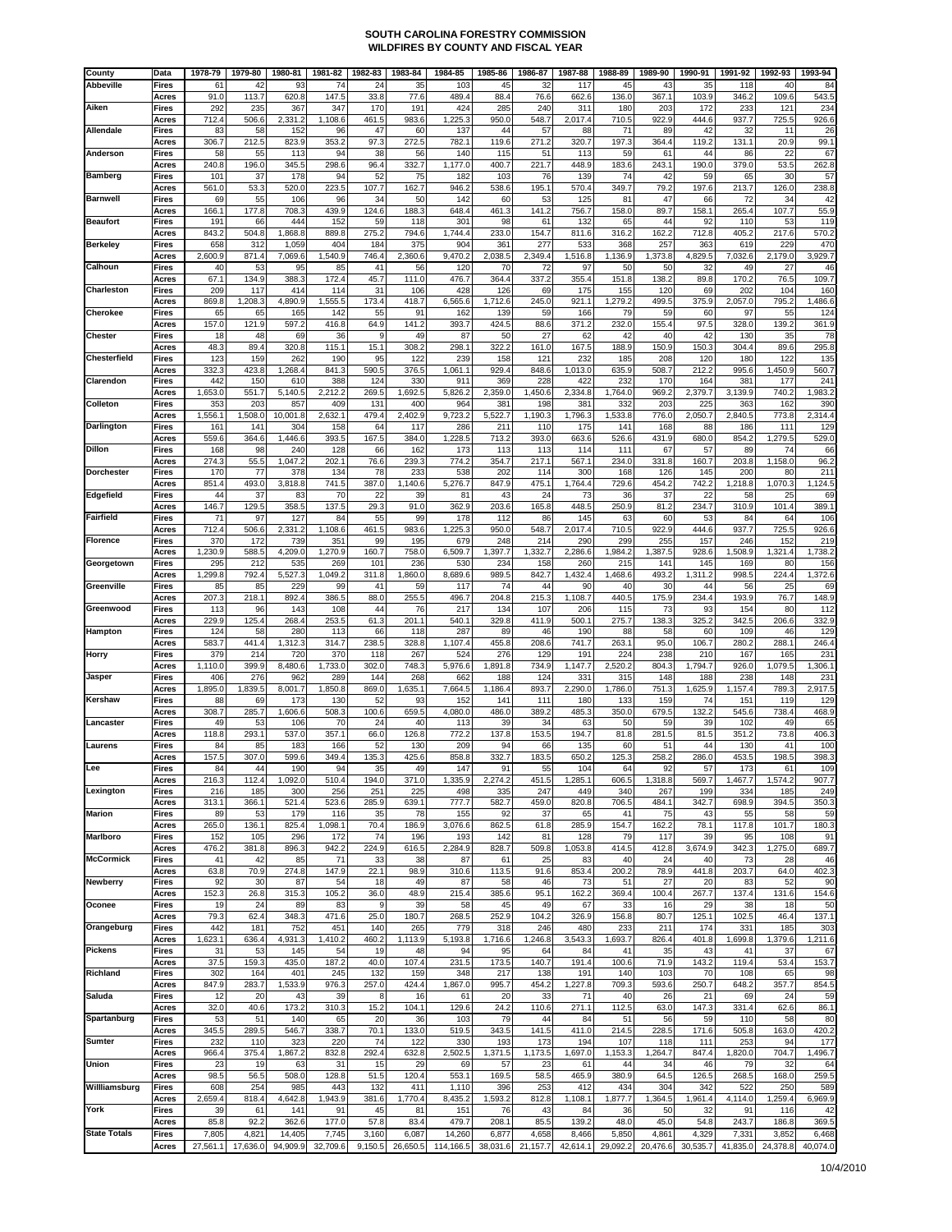| County              | Data                  | 1978-79        | 1979-80      | 1980-81          | 1981-82        | 1982-83      | 1983-84       | 1984-85        | 1985-86        | 1986-87       | 1987-88        | 1988-89        | 1989-90        | 1990-91        | 1991-92        | 1992-93        | 1993-94         |
|---------------------|-----------------------|----------------|--------------|------------------|----------------|--------------|---------------|----------------|----------------|---------------|----------------|----------------|----------------|----------------|----------------|----------------|-----------------|
| <b>Abbeville</b>    | Fires                 | 61             | 42           | 93               | 74             | 24           | 35            | 103            | 45             | 32            | 117            | 45             | 43             | 35             | 118            | 40             | 84              |
|                     | Acres                 | 91.0           | 113.7        | 620.8            | 147.5          | 33.8         | 77.6          | 489.4          | 88.4           | 76.6          | 662.6          | 136.0          | 367.1          | 103.9          | 346.2          | 109.6          | 543.5           |
| Aiken               | Fires                 | 292            | 235          | 367              | 347            | 170          | 191           | 424            | 285            | 240           | 311            | 180            | 203            | 172            | 233            | 121            | 234             |
|                     | Acres                 | 712.4          | 506.6        | 2,331.2          | 1,108.6        | 461.5        | 983.6         | 1,225.3        | 950.0          | 548.7         | 2,017.4        | 710.5          | 922.9          | 444.6          | 937.7          | 725.5          | 926.6           |
| Allendale           | <b>Fires</b><br>Acres | 83<br>306.7    | 58<br>212.5  | 152<br>823.9     | 96<br>353.2    | 47<br>97.3   | 60<br>272.5   | 137<br>782.1   | 44<br>119.6    | 57<br>271.2   | 88<br>320.7    | 71<br>197.3    | 89<br>364.4    | 42<br>119.2    | 32<br>131.1    | 11<br>20.9     | 26<br>99.1      |
| Anderson            | Fires                 | 58             | 55           | 113              | 94             | 38           | 56            | 140            | 115            | 51            | 113            | 59             | 61             | 44             | 86             | 22             | 67              |
|                     | Acres                 | 240.8          | 196.0        | 345.5            | 298.6          | 96.4         | 332.7         | 1,177.0        | 400.7          | 221.7         | 448.9          | 183.6          | 243.1          | 190.0          | 379.0          | 53.5           | 262.8           |
| <b>Bamberg</b>      | Fires                 | 101            | 37           | 178              | 94             | 52           | 75            | 182            | 103            | 76            | 139            | 74             | 42             | 59             | 65             | 30             | 57              |
|                     | Acres                 | 561.0          | 53.3         | 520.0            | 223.5          | 107.7        | 162.7         | 946.2          | 538.6          | 195.1         | 570.4          | 349.7          | 79.2           | 197.6          | 213.7          | 126.0          | 238.8           |
| <b>Barnwell</b>     | <b>Fires</b>          | 69             | 55           | 106              | 96             | 34           | 50            | 142            | 60             | 53            | 125            | 81             | 47             | 66             | 72             | 34             | 42              |
|                     | Acres                 | 166.1          | 177.8        | 708.3            | 439.9          | 124.6        | 188.3         | 648.4          | 461.3          | 141.2         | 756.7          | 158.0          | 89.7           | 158.1          | 265.4          | 107.7          | 55.9            |
| <b>Beaufort</b>     | <b>Fires</b>          | 191            | 66           | 444              | 152            | 59           | 118           | 301            | 98             | 61            | 132            | 65             | 44             | 92             | 110            | 53             | 119             |
| <b>Berkelev</b>     | Acres                 | 843.2          | 504.8        | 1,868.8          | 889.8          | 275.2        | 794.6<br>375  | 1,744.4        | 233.0          | 154.7<br>277  | 811.6          | 316.2          | 162.2          | 712.8          | 405.2          | 217.6<br>229   | 570.2<br>470    |
|                     | Fires<br>Acres        | 658<br>2,600.9 | 312<br>871.4 | 1,059<br>7,069.6 | 404<br>1,540.9 | 184<br>746.4 | 2,360.6       | 904<br>9,470.2 | 361<br>2,038.5 | 2,349.4       | 533<br>1,516.8 | 368<br>1,136.9 | 257<br>1,373.8 | 363<br>4,829.5 | 619<br>7,032.6 | 2,179.0        | 3,929.          |
| Calhoun             | Fires                 | 40             | 53           | 95               | 85             | 41           | 56            | 120            | 70             | 72            | 97             | 50             | 50             | 32             | 49             | 27             | 46              |
|                     | Acres                 | 67.1           | 134.9        | 388.3            | 172.4          | 45.7         | 111.0         | 476.7          | 364.4          | 337.2         | 355.4          | 151.8          | 138.2          | 89.8           | 170.2          | 76.5           | 109.            |
| Charleston          | Fires                 | 209            | 117          | 414              | 114            | 31           | 106           | 428            | 126            | 69            | 175            | 155            | 120            | 69             | 202            | 104            | 160             |
|                     | Acres                 | 869.8          | 1,208.3      | 4,890.9          | 1,555.5        | 173.4        | 418.7         | 6,565.6        | 1,712.6        | 245.0         | 921.1          | 1,279.2        | 499.5          | 375.9          | 2,057.0        | 795.2          | 1,486.6         |
| Cherokee            | <b>Fires</b>          | 65             | 65           | 165              | 142            | 55           | 91            | 162            | 139            | 59            | 166            | 79             | 59             | 60             | 97             | 55             | 124             |
|                     | Acres                 | 157.0          | 121.9        | 597.2            | 416.8          | 64.9         | 141.2         | 393.7          | 424.5          | 88.6          | 371.2          | 232.0          | 155.4          | 97.5           | 328.0          | 139.2          | 361.9           |
| <b>Chester</b>      | Fires                 | 18             | 48           | 69               | 36             | 9            | 49            | 87             | 50             | 27            | 62             | 42             | 40             | 42             | 130            | 35             | 78              |
| Chesterfield        | Acres<br>Fires        | 48.3<br>123    | 89.4<br>159  | 320.8<br>262     | 115.1<br>190   | 15.1<br>95   | 308.2<br>122  | 298.1<br>239   | 322.2<br>158   | 161.0<br>121  | 167.5<br>232   | 188.9<br>185   | 150.9<br>208   | 150.3<br>120   | 304.4<br>180   | 89.6<br>122    | 295.8<br>135    |
|                     | Acres                 | 332.3          | 423.8        | 1,268.4          | 841.3          | 590.5        | 376.5         | 1,061.1        | 929.4          | 848.6         | 1,013.0        | 635.9          | 508.7          | 212.2          | 995.6          | 1,450.9        | 560.            |
| Clarendon           | <b>Fires</b>          | 442            | 150          | 610              | 388            | 124          | 330           | 911            | 369            | 228           | 422            | 232            | 170            | 164            | 381            | 177            | 24 <sup>°</sup> |
|                     | Acres                 | 1,653.0        | 551.7        | 5,140.5          | 2,212.2        | 269.5        | 1,692.5       | 5,826.2        | 2,359.0        | 1,450.6       | 2,334.8        | 1,764.0        | 969.2          | 2,379.7        | 3,139.9        | 740.2          | 1,983.          |
| Colleton            | Fires                 | 353            | 203          | 857              | 409            | 131          | 400           | 964            | 381            | 198           | 381            | 332            | 203            | 225            | 363            | 162            | 390             |
|                     | Acres                 | 1,556.1        | 1,508.0      | 10,001.8         | 2,632.1        | 479.4        | 2,402.9       | 9,723.2        | 5,522.7        | 1,190.3       | 1,796.3        | 1,533.8        | 776.0          | 2,050.7        | 2,840.5        | 773.8          | 2,314.          |
| Darlington          | <b>Fires</b>          | 161            | 141          | 304              | 158            | 64           | 117           | 286            | 211            | 110           | 175            | 141            | 168            | 88             | 186            | 111            | 129             |
|                     | Acres                 | 559.6          | 364.6        | 1,446.6          | 393.5          | 167.5        | 384.0         | 1,228.5        | 713.2          | 393.0         | 663.6          | 526.6          | 431.9          | 680.0          | 854.2          | 1,279.5        | 529.0           |
| Dillon              | Fires<br>Acres        | 168<br>274.3   | 98<br>55.5   | 240<br>1,047.2   | 128<br>202.1   | 66<br>76.6   | 162<br>239.3  | 173<br>774.2   | 113<br>354.7   | 113<br>217.1  | 114<br>567.1   | 111<br>234.0   | 67<br>331.8    | 57<br>160.7    | 89<br>203.8    | 74<br>1,158.0  | 66<br>96.2      |
| <b>Dorchester</b>   | Fires                 | 170            | 77           | 378              | 134            | 78           | 233           | 538            | 202            | 114           | 300            | 168            | 126            | 145            | 200            | 80             | 21              |
|                     | Acres                 | 851.4          | 493.0        | 3,818.8          | 741.5          | 387.0        | 1,140.6       | 5,276.7        | 847.9          | 475.          | 1,764.4        | 729.6          | 454.2          | 742.2          | 1,218.8        | 1,070.3        | 1,124.          |
| Edgefield           | Fires                 | 44             | 37           | 83               | 70             | 22           | 39            | 81             | 43             | 24            | 73             | 36             | 37             | 22             | 58             | 25             | 69              |
|                     | Acres                 | 146.7          | 129.5        | 358.5            | 137.5          | 29.3         | 91.0          | 362.9          | 203.6          | 165.8         | 448.5          | 250.9          | 81.2           | 234.7          | 310.9          | 101.4          | 389.1           |
| Fairfield           | <b>Fires</b>          | 71             | 97           | 127              | 84             | 55           | 99            | 178            | 112            | 86            | 145            | 63             | 60             | 53             | 84             | 64             | 106             |
| <b>Florence</b>     | Acres<br>Fires        | 712.4<br>37C   | 506.6<br>172 | 2,331.2<br>739   | 1,108.6<br>351 | 461.5<br>99  | 983.6<br>195  | 1,225.3<br>679 | 950.0<br>248   | 548.7<br>214  | 2,017.4<br>290 | 710.5<br>299   | 922.9<br>255   | 444.6<br>157   | 937.7<br>246   | 725.5<br>152   | 926.6<br>219    |
|                     | Acres                 | 1,230.9        | 588.5        | 4,209.0          | 1,270.9        | 160.7        | 758.0         | 6,509.7        | 1,397.7        | 1,332.7       | 2,286.6        | 1,984.2        | 1,387.5        | 928.6          | 1,508.9        | 1,321.4        | 1,738.          |
| Georgetown          | Fires                 | 295            | 212          | 535              | 269            | 101          | 236           | 530            | 234            | 158           | 260            | 215            | 141            | 145            | 169            | 80             | 156             |
|                     | Acres                 | 1,299.8        | 792.4        | 5,527.3          | 1,049.2        | 311.8        | 1,860.0       | 8,689.6        | 989.5          | 842.7         | 1,432.4        | 1,468.6        | 493.2          | 1,311.2        | 998.5          | 224.4          | 1,372.6         |
| Greenville          | Fires                 | 85             | 85           | 229              | 99             | 41           | 59            | 117            | 74             | 44            | 90             | 40             | 30             | 44             | 56             | 25             | 69              |
|                     | Acres                 | 207.3          | 218.1        | 892.4            | 386.5          | 88.0         | 255.5         | 496.7          | 204.8          | 215.3         | 1,108.7        | 440.5          | 175.9          | 234.4          | 193.9          | 76.7           | 148.9           |
| Greenwood           | <b>Fires</b>          | 113            | 96           | 143              | 108            | 44           | 76            | 217            | 134            | 107           | 206            | 115            | 73             | 93             | 154            | 80             | 112             |
| Hampton             | Acres<br>Fires        | 229.9<br>124   | 125.4<br>58  | 268.4<br>280     | 253.5<br>113   | 61.3<br>66   | 201.1<br>118  | 540.1<br>287   | 329.8<br>89    | 411.9<br>46   | 500.1<br>190   | 275.7<br>88    | 138.3<br>58    | 325.2<br>60    | 342.5<br>109   | 206.6<br>46    | 332.9<br>129    |
|                     | Acres                 | 583.7          | 441.4        | 1,312.3          | 314.7          | 238.5        | 328.8         | 1,107.4        | 455.8          | 208.6         | 741.7          | 263.1          | 95.0           | 106.7          | 280.2          | 288.1          | 246.            |
| Horry               | <b>Fires</b>          | 379            | 214          | 720              | 370            | 118          | 267           | 524            | 276            | 129           | 191            | 224            | 238            | 210            | 167            | 165            | 23'             |
|                     | Acres                 | 1,110.0        | 399.9        | 8,480.6          | 1,733.0        | 302.0        | 748.3         | 5,976.6        | 1,891.8        | 734.9         | 1,147.7        | 2,520.2        | 804.3          | 1,794.7        | 926.0          | 1,079.5        | 1,306.          |
| Jasper              | Fires                 | 406            | 276          | 962              | 289            | 144          | 268           | 662            | 188            | 124           | 331            | 315            | 148            | 188            | 238            | 148            | 23              |
|                     | Acres                 | 1,895.0        | 1,839.5      | 8,001.7          | 1,850.8        | 869.0        | 1,635.1       | 7,664.5        | 1,186.4        | 893.7         | 2,290.0        | 1,786.0        | 751.3          | 1,625.9        | 1,157.4        | 789.3          | 2,917.5         |
| Kershaw             | <b>Fires</b><br>Acres | 88<br>308.7    | 69<br>285.7  | 173<br>1,606.6   | 130<br>508.3   | 52<br>100.6  | 93<br>659.5   | 152<br>4,080.0 | 141<br>486.0   | 111<br>389.2  | 180<br>485.3   | 133<br>350.0   | 159<br>679.5   | 74<br>132.2    | 151<br>545.6   | 119<br>738.4   | 129<br>468.9    |
| Lancaster           | Fires                 | 49             | 53           | 106              | 70             | 24           | 40            | 113            | 39             | 34            | 63             | 50             | 59             | 39             | 102            | 49             | 65              |
|                     | Acres                 | 118.8          | 293.1        | 537.0            | 357.1          | 66.0         | 126.8         | 772.2          | 137.8          | 153.5         | 194.7          | 81.8           | 281.5          | 81.5           | 351.2          | 73.8           | 406.            |
| aurens              | Fires                 | 84             | 85           | 183              | 166            | 52           | 130           | 209            | 94             | 66            | 135            | 60             | 51             | 44             | 130            | 41             | 100             |
|                     | Acres                 | 157.5          | 307.0        | 599.6            | 349.4          | 135.3        | 425.6         | 858.8          | 332.7          | 183.5         | 650.2          | 125.3          | 258.2          | 286.0          | 453.5          | 198.5          | 398.            |
| Lee                 | Fires                 | 84             | 44           | 190              | 94             | 35           | 49            | 147            | 91             | 55            | 104            | 64             | 92             | 57             | 173            | 61             | 109             |
| Lexington           | Acres<br><b>Fires</b> | 216.3<br>216   | 112.4<br>185 | 1,092.0<br>300   | 510.4<br>256   | 194.0<br>251 | 371.0<br>225  | 1,335.9<br>498 | 2,274.2<br>335 | 451.5<br>247  | 1,285.1<br>449 | 606.5<br>340   | 1,318.8<br>267 | 569.7<br>199   | 1,467.7<br>334 | 1,574.2<br>185 | 907.7<br>249    |
|                     | Acres                 | 313.1          | 366.1        | 521.4            | 523.6          | 285.9        | 639.1         | 777.7          | 582.7          | 459.0         | 820.8          | 706.5          | 484.1          | 342.7          | 698.9          | 394.5          | 350.3           |
| <b>Marion</b>       | <b>Fires</b>          | 89             | 53           | 179              | 116            | 35           | 78            | 155            | 92             | 37            | 65             | 41             | 75             | 43             | 55             | 58             | 59              |
|                     | Acres                 | 265.0          | 136.1        | 825.4            | 1,098.1        | 70.4         | 186.9         | 3,076.6        | 862.5          | 61.8          | 285.9          | 154.7          | 162.2          | 78.1           | 117.8          | 101.7          | 180.3           |
| <b>Marlboro</b>     | <b>Fires</b>          | 152            | 105          | 296              | 172            | 74           | 196           | 193            | 142            | 81            | 128            | 79             | 117            | 39             | 95             | 108            | 91              |
|                     | Acres                 | 476.2          | 381.8        | 896.3            | 942.2          | 224.9        | 616.5         | 2,284.9        | 828.7          | 509.8         | 1,053.8        | 414.5          | 412.8          | 3,674.9        | 342.3          | 1,275.0        | 689.7           |
| <b>McCormick</b>    | Fires<br>Acres        | 41<br>63.8     | 42<br>70.9   | 85<br>274.8      | 71<br>147.9    | 33<br>22.1   | 38<br>98.9    | 87<br>310.6    | 61<br>113.5    | 25<br>91.6    | 83<br>853.4    | 40<br>200.2    | 24<br>78.9     | 40<br>441.8    | 73<br>203.7    | 28<br>64.0     | 46<br>402.3     |
| <b>Newberry</b>     | <b>Fires</b>          | 92             | 30           | 87               | 54             | 18           | 49            | 87             | 58             | 46            | 73             | 51             | 27             | 20             | 83             | 52             | 90              |
|                     | Acres                 | 152.3          | 26.8         | 315.3            | 105.2          | 36.0         | 48.9          | 215.4          | 385.6          | 95.1          | 162.2          | 369.4          | 100.4          | 267.7          | 137.4          | 131.6          | 154.6           |
| Oconee              | Fires                 | 19             | 24           | 89               | 83             | 9            | 39            | 58             | 45             | 49            | 67             | 33             | 16             | 29             | 38             | 18             | 50              |
|                     | Acres                 | 79.3           | 62.4         | 348.3            | 471.6          | 25.0         | 180.7         | 268.5          | 252.9          | 104.2         | 326.9          | 156.8          | 80.7           | 125.1          | 102.5          | 46.4           | 137.1           |
| Orangeburg          | <b>Fires</b>          | 442            | 181          | 752              | 451            | 140          | 265           | 779            | 318            | 246           | 480            | 233            | 211            | 174            | 331            | 185            | 303             |
| <b>Pickens</b>      | Acres<br><b>Fires</b> | 1,623.1<br>31  | 636.4<br>53  | 4,931.3<br>145   | 1,410.2<br>54  | 460.2<br>19  | 1,113.9<br>48 | 5,193.8<br>94  | 1,716.6<br>95  | 1,246.8<br>64 | 3,543.3<br>84  | 1,693.7<br>41  | 826.4<br>35    | 401.8<br>43    | 1,699.8<br>41  | 1,379.6<br>37  | 1,211.6<br>67   |
|                     | Acres                 | 37.5           | 159.3        | 435.0            | 187.2          | 40.0         | 107.4         | 231.5          | 173.5          | 140.7         | 191.4          | 100.6          | 71.9           | 143.2          | 119.4          | 53.4           | 153.7           |
| Richland            | Fires                 | 302            | 164          | 401              | 245            | 132          | 159           | 348            | 217            | 138           | 191            | 140            | 103            | 70             | 108            | 65             | 98              |
|                     | Acres                 | 847.9          | 283.7        | 1,533.9          | 976.3          | 257.0        | 424.4         | 1,867.0        | 995.7          | 454.2         | 1,227.8        | 709.3          | 593.6          | 250.7          | 648.2          | 357.7          | 854.5           |
| Saluda              | <b>Fires</b>          | 12             | 20           | 43               | 39             | 8            | 16            | 61             | 20             | 33            | 71             | 40             | 26             | 21             | 69             | 24             | 59              |
|                     | Acres                 | 32.0           | 40.6         | 173.2            | 310.3          | 15.2         | 104.1         | 129.6          | 24.2           | 110.6         | 271.1          | 112.5          | 63.0           | 147.3          | 331.4          | 62.6           | 86.1            |
| Spartanburg         | <b>Fires</b>          | 53             | 51           | 140              | 65             | 20           | 36            | 103            | 79             | 44            | 84             | 51             | 56             | 59             | 110            | 58             | 80              |
| Sumter              | Acres<br><b>Fires</b> | 345.5<br>232   | 289.5<br>110 | 546.7<br>323     | 338.7<br>220   | 70.1<br>74   | 133.0<br>122  | 519.5<br>330   | 343.5<br>193   | 141.5<br>173  | 411.0<br>194   | 214.5<br>107   | 228.5<br>118   | 171.6<br>111   | 505.8<br>253   | 163.0<br>94    | 420.2<br>177    |
|                     | Acres                 | 966.4          | 375.4        | 1,867.2          | 832.8          | 292.4        | 632.8         | 2,502.5        | 1,371.5        | 1,173.5       | 1,697.0        | 1,153.3        | 1,264.7        | 847.4          | 1,820.0        | 704.7          | 1,496.7         |
| Union               | Fires                 | 23             | 19           | 63               | 31             | 15           | 29            | 69             | 57             | 23            | 61             | 44             | 34             | 46             | 79             | 32             | 64              |
|                     | Acres                 | 98.5           | 56.5         | 508.0            | 128.8          | 51.5         | 120.4         | 553.1          | 169.5          | 58.5          | 465.9          | 380.9          | 64.5           | 126.5          | 268.5          | 168.0          | 259.5           |
| Willliamsburg       | <b>Fires</b>          | 608            | 254          | 985              | 443            | 132          | 411           | 1,110          | 396            | 253           | 412            | 434            | 304            | 342            | 522            | 250            | 589             |
|                     | Acres                 | 2,659.4        | 818.4        | 4,642.8          | 1,943.9        | 381.6        | 1,770.4       | 8,435.2        | 1,593.2        | 812.8         | 1,108.1        | 1,877.7        | 1,364.5        | 1,961.4        | 4,114.0        | 1,259.4        | 6,969.9         |
| York                | Fires<br>Acres        | 39<br>85.8     | 61<br>92.2   | 141<br>362.6     | 91<br>177.0    | 45<br>57.8   | 81<br>83.4    | 151<br>479.7   | 76<br>208.1    | 43<br>85.5    | 84<br>139.2    | 36<br>48.0     | 50<br>45.0     | 32<br>54.8     | 91<br>243.7    | 116<br>186.8   | 42<br>369.5     |
| <b>State Totals</b> | <b>Fires</b>          | 7,805          | 4,821        | 14,405           | 7,745          | 3,160        | 6,087         | 14,260         | 6,877          | 4,658         | 8,466          | 5,850          | 4,861          | 4,329          | 7,331          | 3,852          | 6,468           |
|                     | Acres                 | 27,561.1       | 17,636.0     | 94,909.9         | 32,709.6       | 9,150.5      | 26,650.5      | 114,166.5      | 38,031.6       | 21,157.7      | 42,614.1       | 29,092.2       | 20,476.6       | 30,535.7       | 41,835.0       | 24,378.8       | 40,074.0        |
|                     |                       |                |              |                  |                |              |               |                |                |               |                |                |                |                |                |                |                 |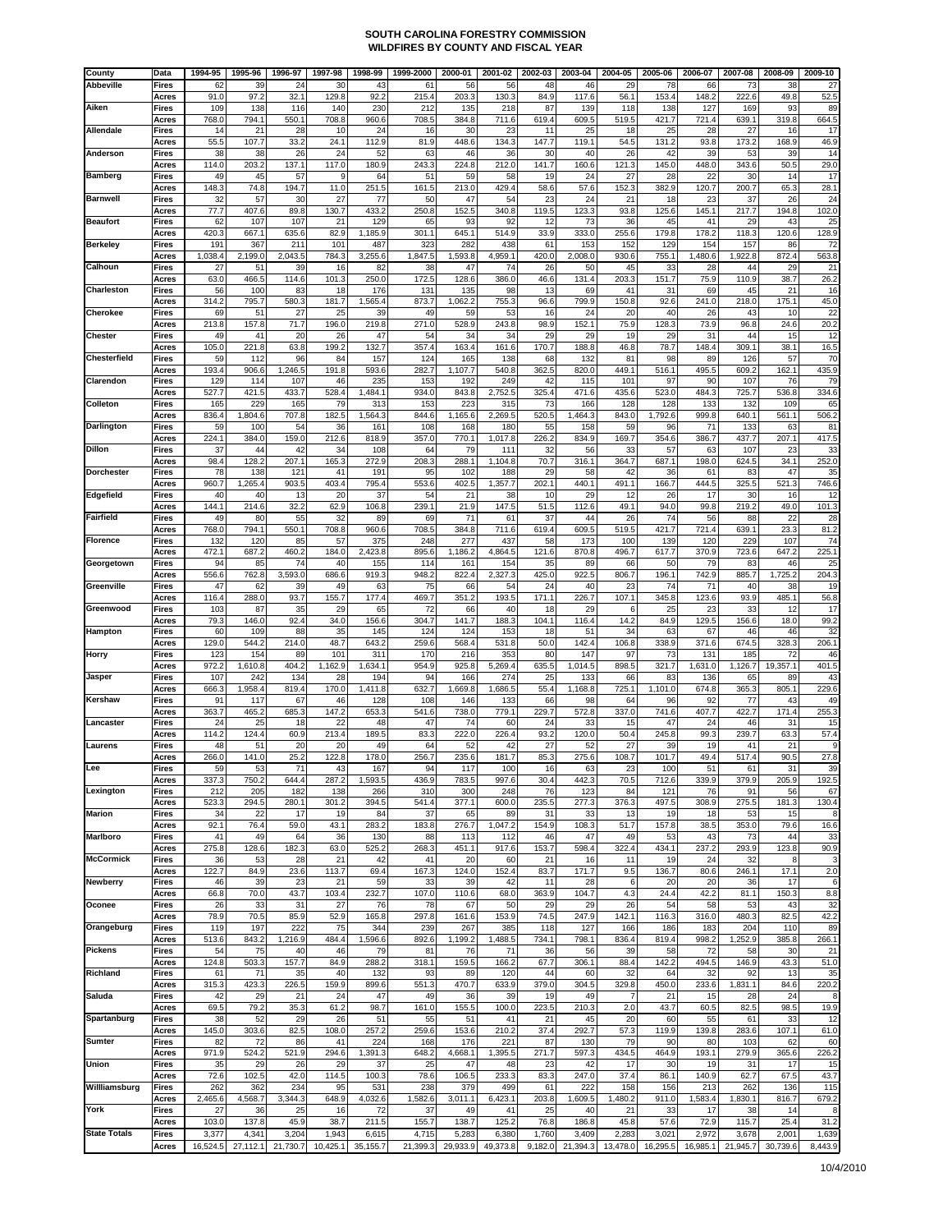| County              | Data                  | 1994-95      | 1995-96        | 1996-97       | 1997-98        | 1998-99        | 1999-2000    | 2000-01        | 2001-02        | 2002-03     | 2003-04        | 2004-05      | 2005-06        | 2006-07        | 2007-08        | 2008-09        | 2009-10                |
|---------------------|-----------------------|--------------|----------------|---------------|----------------|----------------|--------------|----------------|----------------|-------------|----------------|--------------|----------------|----------------|----------------|----------------|------------------------|
| <b>Abbeville</b>    | Fires                 | 62<br>91.0   | 39<br>97.2     | 24<br>32.1    | 30<br>129.8    | 43<br>92.2     | 61<br>215.4  | 56<br>203.3    | 56<br>130.3    | 48<br>84.9  | 46<br>117.6    | 29<br>56.1   | 78<br>153.4    | 66<br>148.2    | 73<br>222.6    | 38<br>49.8     | 27<br>52.5             |
| Aiken               | Acres<br>Fires        | 109          | 138            | 116           | 140            | 230            | 212          | 135            | 218            | 87          | 139            | 118          | 138            | 127            | 169            | 93             | 89                     |
|                     | Acres                 | 768.0        | 794.1          | 550.1         | 708.8          | 960.6          | 708.5        | 384.8          | 711.6          | 619.4       | 609.5          | 519.5        | 421.7          | 721.4          | 639.1          | 319.8          | 664.5                  |
| Allendale           | <b>Fires</b>          | 14           | 21             | 28            | 10             | 24             | 16           | 30             | 23             | 11          | 25             | 18           | 25             | 28             | 27             | 16             | 17                     |
| Anderson            | Acres<br><b>Fires</b> | 55.5<br>38   | 107.7<br>38    | 33.2<br>26    | 24.1<br>24     | 112.9<br>52    | 81.9<br>63   | 448.6<br>46    | 134.3<br>36    | 147.7<br>30 | 119.1<br>40    | 54.5<br>26   | 131.2<br>42    | 93.8<br>39     | 173.2<br>53    | 168.9<br>39    | 46.9<br>14             |
|                     | Acres                 | 114.0        | 203.2          | 137.1         | 117.0          | 180.9          | 243.3        | 224.8          | 212.0          | 141.7       | 160.6          | 121.3        | 145.0          | 448.0          | 343.6          | 50.5           | 29.0                   |
| <b>Bamberg</b>      | <b>Fires</b>          | 49           | 45             | 57            | g              | 64             | 51           | 59             | 58             | 19          | 24             | 27           | 28             | 22             | 30             | 14             | 17                     |
| <b>Barnwell</b>     | Acres<br><b>Fires</b> | 148.3<br>32  | 74.8<br>57     | 194.7<br>30   | 11.0<br>27     | 251.5<br>77    | 161.5<br>50  | 213.0<br>47    | 429.4<br>54    | 58.6<br>23  | 57.6<br>24     | 152.3<br>21  | 382.9<br>18    | 120.7<br>23    | 200.7<br>37    | 65.3<br>26     | 28.7<br>24             |
|                     | Acres                 | 77.7         | 407.6          | 89.8          | 130.7          | 433.2          | 250.8        | 152.5          | 340.8          | 119.5       | 123.3          | 93.8         | 125.6          | 145.1          | 217.7          | 194.8          | 102.0                  |
| <b>Beaufort</b>     | <b>Fires</b><br>Acres | 62<br>420.3  | 107<br>667.1   | 107<br>635.6  | 21<br>82.9     | 129<br>1,185.9 | 65<br>301.1  | 93<br>645.1    | 92<br>514.9    | 12<br>33.9  | 73<br>333.C    | 36<br>255.6  | 45<br>179.8    | 41<br>178.2    | 29<br>118.3    | 43<br>120.6    | 25<br>128.9            |
| <b>Berkeley</b>     | <b>Fires</b>          | 191          | 367            | 211           | 101            | 487            | 323          | 282            | 438            | 61          | 153            | 152          | 129            | 154            | 157            | 86             | 72                     |
|                     | Acres                 | 1,038.4      | 2,199.0        | 2,043.5       | 784.3          | 3,255.6        | 1,847.5      | 1,593.8        | 4,959.1        | 420.0       | 2,008.0        | 930.6        | 755.           | 1,480.6        | 1,922.8        | 872.4          | 563.8                  |
| Calhoun             | <b>Fires</b><br>Acres | 27<br>63.0   | 51<br>466.5    | 39<br>114.6   | 16<br>101.3    | 82<br>250.0    | 38<br>172.5  | 47<br>128.6    | 74<br>386.0    | 26<br>46.6  | 50<br>131.4    | 45<br>203.3  | 33<br>151.7    | 28<br>75.9     | 44<br>110.9    | 29<br>38.7     | 2 <sup>1</sup><br>26.2 |
| Charleston          | <b>Fires</b>          | 56           | 100            | 83            | 18             | 176            | 131          | 135            | 98             | 13          | 69             | 41           | 31             | 69             | 45             | 21             | 16                     |
|                     | Acres                 | 314.2        | 795.7          | 580.3         | 181.7          | 1,565.4        | 873.7        | 1,062.2        | 755.3          | 96.6        | 799.9          | 150.8        | 92.6           | 241.0          | 218.0          | 175.1          | 45.0                   |
| Cherokee            | <b>Fires</b><br>Acres | 69<br>213.8  | 51<br>157.8    | 27<br>71.7    | 25<br>196.0    | 39<br>219.8    | 49<br>271.0  | 59<br>528.9    | 53<br>243.8    | 16<br>98.9  | 24<br>152.1    | 20<br>75.9   | 40<br>128.3    | 26<br>73.9     | 43<br>96.8     | 10<br>24.6     | $\overline{2}$<br>20.2 |
| <b>Chester</b>      | <b>Fires</b>          | 49           | 41             | 20            | 26             | 47             | 54           | 34             | 34             | 29          | 29             | 19           | 29             | 31             | 44             | 15             | 12                     |
|                     | Acres                 | 105.0        | 221.8          | 63.8          | 199.2          | 132.7          | 357.4        | 163.4          | 161.6          | 170.7       | 188.8          | 46.8         | 78.7           | 148.4          | 309.1          | 38.1           | 16.5                   |
| Chesterfield        | <b>Fires</b><br>Acres | 59<br>193.4  | 112<br>906.6   | 96<br>1,246.5 | 84<br>191.8    | 157<br>593.6   | 124<br>282.7 | 165<br>1,107.7 | 138<br>540.8   | 68<br>362.5 | 132<br>820.0   | 81<br>449.1  | 98<br>516.1    | 89<br>495.5    | 126<br>609.2   | 57<br>162.1    | 70<br>435.9            |
| Clarendon           | <b>Fires</b>          | 129          | 114            | 107           | 46             | 235            | 153          | 192            | 249            | 42          | 115            | 101          | 97             | 90             | 107            | 76             | 79                     |
|                     | Acres                 | 527.7        | 421.5          | 433.7         | 528.4          | 1,484.1        | 934.C        | 843.8          | 2,752.5        | 325.4       | 471.6          | 435.6        | 523.0          | 484.3          | 725.7          | 536.8          | 334.6                  |
| Colleton            | <b>Fires</b><br>Acres | 165<br>836.4 | 229<br>1,804.6 | 165<br>707.8  | 79<br>182.5    | 313<br>1,564.3 | 153<br>844.6 | 223<br>1,165.6 | 315<br>2,269.5 | 73<br>520.5 | 166<br>,464.3  | 128<br>843.0 | 128<br>1,792.6 | 133<br>999.8   | 132<br>640.1   | 109<br>561.1   | 65<br>506.             |
| <b>Darlington</b>   | <b>Fires</b>          | 59           | 100            | 54            | 36             | 161            | 108          | 168            | 180            | 55          | 158            | 59           | 96             | 71             | 133            | 63             | 81                     |
| <b>Dillon</b>       | Acres<br><b>Fires</b> | 224.1<br>37  | 384.0<br>44    | 159.0<br>42   | 212.6<br>34    | 818.9<br>108   | 357.0<br>64  | 770.1<br>79    | 1,017.8<br>111 | 226.2<br>32 | 834.9<br>56    | 169.7<br>33  | 354.6<br>57    | 386.7<br>63    | 437.7<br>107   | 207.1<br>23    | 417.5<br>33            |
|                     | Acres                 | 98.4         | 128.2          | 207.1         | 165.3          | 272.9          | 208.3        | 288.1          | 1,104.8        | 70.7        | 316.1          | 364.7        | 687.1          | 198.0          | 624.5          | 34.1           | 252.0                  |
| <b>Dorchester</b>   | Fires                 | 78           | 138            | 121           | 41             | 191            | 95           | 102            | 188            | 29          | 58             | 42           | 36             | 61             | 83             | 47             | 35                     |
| Edgefield           | Acres<br>Fires        | 960.7<br>40  | 1,265.4<br>40  | 903.5<br>13   | 403.4<br>20    | 795.4<br>37    | 553.6<br>54  | 402.5<br>21    | 1,357.7<br>38  | 202.1<br>10 | 440.1<br>29    | 491.1<br>12  | 166.7<br>26    | 444.5<br>17    | 325.5<br>30    | 521.3<br>16    | 746.6<br>12            |
|                     | Acres                 | 144.1        | 214.6          | 32.2          | 62.9           | 106.8          | 239.1        | 21.9           | 147.5          | 51.5        | 112.6          | 49.1         | 94.0           | 99.8           | 219.2          | 49.0           | 101.3                  |
| <b>Fairfield</b>    | <b>Fires</b>          | 49           | 80             | 55            | 32             | 89             | 69           | 71             | 61             | 37          | 44             | 26           | 74             | 56             | 88             | 22             | 28                     |
| <b>Florence</b>     | Acres<br><b>Fires</b> | 768.0<br>132 | 794.1<br>120   | 550.1<br>85   | 708.8<br>57    | 960.6<br>375   | 708.5<br>248 | 384.8<br>277   | 711.6<br>437   | 619.4<br>58 | 609.5<br>173   | 519.5<br>100 | 421.7<br>139   | 721.4<br>120   | 639.1<br>229   | 23.3<br>107    | 81.2<br>74             |
|                     | Acres                 | 472.1        | 687.2          | 460.2         | 184.0          | 2,423.8        | 895.6        | 1,186.2        | 4,864.5        | 121.6       | 870.8          | 496.7        | 617.7          | 370.9          | 723.6          | 647.2          | 225.7                  |
| Georgetown          | Fires                 | 94           | 85             | 74            | 40             | 155            | 114          | 161            | 154            | 35          | 89             | 66           | 50             | 79             | 83             | 46             | 25                     |
| Greenville          | Acres<br>Fires        | 556.6<br>47  | 762.8<br>62    | 3,593.0<br>39 | 686.6<br>49    | 919.3<br>63    | 948.2<br>75  | 822.4<br>66    | 2,327.3<br>54  | 425.0<br>24 | 922.5<br>40    | 806.7<br>23  | 196.1<br>74    | 742.9<br>71    | 885.7<br>40    | 1,725.2<br>38  | 204.3<br>19            |
|                     | Acres                 | 116.4        | 288.0          | 93.7          | 155.7          | 177.4          | 469.7        | 351.2          | 193.5          | 171.1       | 226.7          | 107.1        | 345.8          | 123.6          | 93.9           | 485.1          | 56.8                   |
| Greenwood           | <b>Fires</b><br>Acres | 103<br>79.3  | 87<br>146.0    | 35<br>92.4    | 29<br>34.0     | 65<br>156.6    | 72<br>304.7  | 66<br>141.7    | 40<br>188.3    | 18<br>104.1 | 29<br>116.4    | 6<br>14.2    | 25<br>84.9     | 23<br>129.5    | 33<br>156.6    | 12<br>18.0     | 17<br>99.2             |
| Hampton             | <b>Fires</b>          | 60           | 109            | 88            | 35             | 145            | 124          | 124            | 153            | 18          | 51             | 34           | 63             | 67             | 46             | 46             | 32                     |
|                     | Acres                 | 129.0        | 544.2          | 214.0         | 48.7           | 643.           | 259.6        | 568.4          | 531.8          | 50.0        | 142.4          | 106.8        | 338.9          | 371.6          | 674.5          | 328.3          | 206.                   |
| Horry               | Fires<br>Acres        | 123<br>972.2 | 154<br>1,610.8 | 89<br>404.2   | 101<br>1,162.9 | 311<br>1,634.1 | 170<br>954.9 | 216<br>925.8   | 353<br>5,269.4 | 80<br>635.5 | 147<br>1,014.5 | 97<br>898.5  | 73<br>321.7    | 131<br>1,631.0 | 185<br>1,126.7 | 72<br>19,357.1 | 46<br>401.5            |
| Jasper              | Fires                 | 107          | 242            | 134           | 28             | 194            | 94           | 166            | 274            | 25          | 133            | 66           | 83             | 136            | 65             | 89             | 43                     |
|                     | Acres<br><b>Fires</b> | 666.3<br>91  | 1,958.4<br>117 | 819.4<br>67   | 170.0<br>46    | 1,411.8<br>128 | 632.7<br>108 | 1,669.8<br>146 | 1,686.5<br>133 | 55.4<br>66  | 1,168.8<br>98  | 725.1<br>64  | 1,101.0<br>96  | 674.8<br>92    | 365.3<br>77    | 805.1<br>43    | 229.6<br>49            |
| Kershaw             | Acres                 | 363.7        | 465.2          | 685.3         | 147.2          | 653.3          | 541.6        | 738.0          | 779.1          | 229.7       | 572.8          | 337.0        | 741.6          | 407.7          | 422.7          | 171.4          | 255.3                  |
| .ancaster           | <b>Fires</b>          | 24           | 25             | 18            | 22             | 48             | 47           | 74             | 60             | 24          | 33             | 15           | 47             | 24             | 46             | 31             | 15                     |
| Laurens             | Acres<br><b>Fires</b> | 114.2<br>48  | 124.4<br>51    | 60.9<br>20    | 213.4<br>20    | 189.5<br>49    | 83.3<br>64   | 222.0<br>52    | 226.4<br>42    | 93.2<br>27  | 120.0<br>52    | 50.4<br>27   | 245.8<br>39    | 99.3<br>19     | 239.7<br>41    | 63.3<br>21     | 57.4                   |
|                     | Acres                 | 266.0        | 141.0          | 25.2          | 122.8          | 178.0          | 256.7        | 235.6          | 181.7          | 85.3        | 275.6          | 108.7        | 101.7          | 49.4           | 517.4          | 90.5           | 27.8                   |
| Lee                 | Fires                 | 59           | 53             | 71            | 43             | 167            | 94           | 117            | 100            | 16          | 63             | 23           | 100            | 51             | 61             | 31             | 39<br>192.5            |
| Lexington           | Acres<br><b>Fires</b> | 337.3<br>212 | 750.2<br>205   | 644.4<br>182  | 287.2<br>138   | 1,593.5<br>266 | 436.9<br>310 | 783.5<br>300   | 997.6<br>248   | 30.4<br>76  | 442.3<br>123   | 70.5<br>84   | 712.6<br>121   | 339.9<br>76    | 379.9<br>91    | 205.9<br>56    | 67                     |
|                     | Acres                 | 523.3        | 294.5          | 280.1         | 301.2          | 394.5          | 541.4        | 377.1          | 600.0          | 235.5       | 277.3          | 376.3        | 497.5          | 308.9          | 275.5          | 181.3          | 130.4                  |
| <b>Marion</b>       | <b>Fires</b><br>Acres | 34<br>92.1   | 22<br>76.4     | 17<br>59.0    | 19<br>43.1     | 84<br>283.2    | 37<br>183.8  | 65<br>276.7    | 89<br>1,047.2  | 31<br>154.9 | 33<br>108.3    | 13<br>51.7   | 19<br>157.8    | 18<br>38.5     | 53<br>353.0    | 15<br>79.6     | 8<br>16.6              |
| <b>Marlboro</b>     | <b>Fires</b>          | 41           | 49             | 64            | 36             | 130            | 88           | 113            | 112            | 46          | 47             | 49           | 53             | 43             | 73             | 44             | 33                     |
|                     | Acres                 | 275.8        | 128.6          | 182.3         | 63.0           | 525.2          | 268.3        | 451.1          | 917.6          | 153.7       | 598.4          | 322.4        | 434.1          | 237.2          | 293.9          | 123.8          | 90.9                   |
| <b>McCormick</b>    | <b>Fires</b><br>Acres | 36<br>122.7  | 53<br>84.9     | 28<br>23.6    | 21<br>113.7    | 42<br>69.4     | 41<br>167.3  | 20<br>124.0    | 60<br>152.4    | 21<br>83.7  | 16<br>171.7    | 11<br>9.5    | 19<br>136.7    | 24<br>80.6     | 32<br>246.1    | 8<br>17.1      | 2.0                    |
| <b>Newberry</b>     | <b>Fires</b>          | 46           | 39             | 23            | 21             | 59             | 33           | 39             | 42             | 11          | 28             | 6            | 20             | 20             | 36             | 17             | 6                      |
| Oconee              | Acres<br><b>Fires</b> | 66.8<br>26   | 70.0<br>33     | 43.7<br>31    | 103.4<br>27    | 232.7<br>76    | 107.0<br>78  | 110.6<br>67    | 68.0<br>50     | 363.9<br>29 | 104.7<br>29    | 4.3<br>26    | 24.4<br>54     | 42.2<br>58     | 81.1<br>53     | 150.3<br>43    | 8.8<br>32              |
|                     | Acres                 | 78.9         | 70.5           | 85.9          | 52.9           | 165.8          | 297.8        | 161.6          | 153.9          | 74.5        | 247.9          | 142.1        | 116.3          | 316.0          | 480.3          | 82.5           | 42.2                   |
| Orangeburg          | <b>Fires</b>          | 119          | 197            | 222           | 75             | 344            | 239          | 267            | 385            | 118         | 127            | 166          | 186            | 183            | 204            | 110            | 89                     |
| <b>Pickens</b>      | Acres<br>Fires        | 513.6<br>54  | 843.2<br>75    | 1,216.9<br>40 | 484.4<br>46    | 1,596.6<br>79  | 892.6<br>81  | 1,199.2<br>76  | 1,488.5<br>71  | 734.1<br>36 | 798.1<br>56    | 836.4<br>39  | 819.4<br>58    | 998.2<br>72    | 1,252.9<br>58  | 385.8<br>30    | 266.1<br>21            |
|                     | Acres                 | 124.8        | 503.3          | 157.7         | 84.9           | 288.2          | 318.1        | 159.5          | 166.2          | 67.7        | 306.1          | 88.4         | 142.2          | 494.5          | 146.9          | 43.3           | 51.0                   |
| Richland            | <b>Fires</b>          | 61           | 71             | 35            | 40             | 132            | 93           | 89             | 120            | 44          | 60             | 32           | 64             | 32             | 92             | 13             | 35                     |
| Saluda              | Acres<br><b>Fires</b> | 315.3<br>42  | 423.3<br>29    | 226.5<br>21   | 159.9<br>24    | 899.6<br>47    | 551.3<br>49  | 470.7<br>36    | 633.9<br>39    | 379.0<br>19 | 304.5<br>49    | 329.8<br>7   | 450.0<br>21    | 233.6<br>15    | 1,831.1<br>28  | 84.6<br>24     | 220.2                  |
|                     | Acres                 | 69.5         | 79.2           | 35.3          | 61.2           | 98.7           | 161.0        | 155.5          | 100.0          | 223.5       | 210.3          | 2.0          | 43.7           | 60.5           | 82.5           | 98.5           | 19.9                   |
| Spartanburg         | <b>Fires</b><br>Acres | 38<br>145.0  | 52<br>303.6    | 29<br>82.5    | 26<br>108.0    | 51<br>257.2    | 55<br>259.6  | 51<br>153.6    | 41<br>210.2    | 21<br>37.4  | 45<br>292.7    | 20<br>57.3   | 60<br>119.9    | 55<br>139.8    | 61<br>283.6    | 33<br>107.1    | 12<br>61.0             |
| Sumter              | <b>Fires</b>          | 82           | 72             | 86            | 41             | 224            | 168          | 176            | 221            | 87          | 130            | 79           | 90             | 80             | 103            | 62             | 60                     |
|                     | Acres                 | 971.9        | 524.2          | 521.9         | 294.6          | 1,391.3        | 648.2        | 4,668.1        | 1,395.5        | 271.7       | 597.3          | 434.5        | 464.9          | 193.1          | 279.9          | 365.6          | 226.2                  |
| <b>Union</b>        | Fires<br>Acres        | 35<br>72.6   | 29<br>102.5    | 26<br>42.0    | 29<br>114.5    | 37<br>100.3    | 25<br>78.6   | 47<br>106.5    | 48<br>233.3    | 23<br>83.3  | 42<br>247.0    | 17<br>37.4   | 30<br>86.1     | 19<br>140.9    | 31<br>62.7     | 17<br>67.5     | 15<br>43.7             |
| Willliamsburg       | <b>Fires</b>          | 262          | 362            | 234           | 95             | 531            | 238          | 379            | 499            | 61          | 222            | 158          | 156            | 213            | 262            | 136            | 115                    |
|                     | Acres                 | 2,465.6      | 4,568.7        | 3,344.3       | 648.9          | 4,032.6        | 1,582.6      | 3,011.1        | 6,423.1        | 203.8       | 1,609.5        | 1,480.2      | 911.0          | 1,583.4        | 1,830.1        | 816.7          | 679.2                  |
| York                | Fires<br>Acres        | 27<br>103.0  | 36<br>137.8    | 25<br>45.9    | 16<br>38.7     | 72<br>211.5    | 37<br>155.7  | 49<br>138.7    | 41<br>125.2    | 25<br>76.8  | 40<br>186.8    | 21<br>45.8   | 33<br>57.6     | 17<br>72.9     | 38<br>115.7    | 14<br>25.4     | 31.2                   |
| <b>State Totals</b> | <b>Fires</b>          | 3,377        | 4,341          | 3,204         | 1,943          | 6,615          | 4,715        | 5,283          | 6,380          | 1,760       | 3,409          | 2,283        | 3,021          | 2,972          | 3,678          | 2,001          | 1,639                  |
|                     | Acres                 | 16,524.5     | 27,112.1       | 21,730.7      | 10,425.1       | 35,155.7       | 21,399.3     | 29,933.9       | 49,373.8       | 9,182.0     | 21,394.3       | 13,478.0     | 16,295.5       | 16,985.1       | 21,945.7       | 30,739.6       | 8,443.9                |